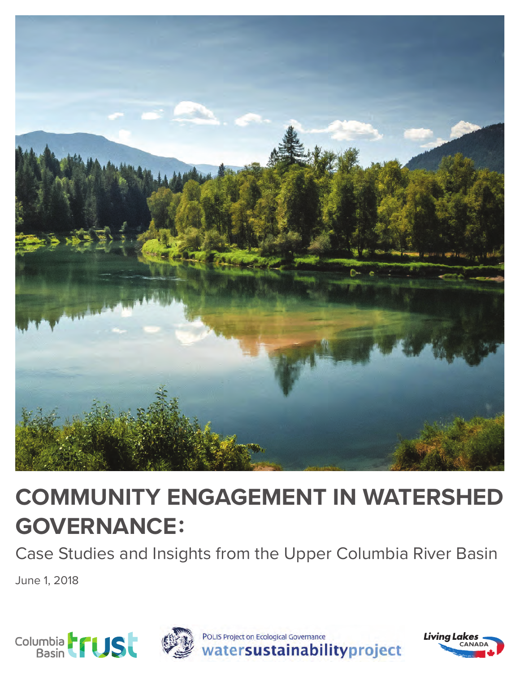

# **COMMUNITY ENGAGEMENT IN WATERSHED GOVERNANCE:**

Case Studies and Insights from the Upper Columbia River Basin

June 1, 2018

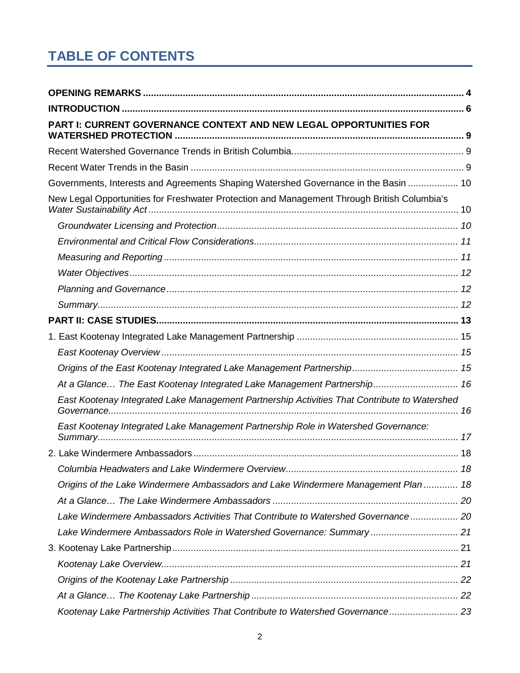# **TABLE OF CONTENTS**

| PART I: CURRENT GOVERNANCE CONTEXT AND NEW LEGAL OPPORTUNITIES FOR                           |  |
|----------------------------------------------------------------------------------------------|--|
|                                                                                              |  |
|                                                                                              |  |
| Governments, Interests and Agreements Shaping Watershed Governance in the Basin  10          |  |
| New Legal Opportunities for Freshwater Protection and Management Through British Columbia's  |  |
|                                                                                              |  |
|                                                                                              |  |
|                                                                                              |  |
|                                                                                              |  |
|                                                                                              |  |
|                                                                                              |  |
|                                                                                              |  |
|                                                                                              |  |
|                                                                                              |  |
|                                                                                              |  |
| At a Glance The East Kootenay Integrated Lake Management Partnership 16                      |  |
| East Kootenay Integrated Lake Management Partnership Activities That Contribute to Watershed |  |
| East Kootenay Integrated Lake Management Partnership Role in Watershed Governance:           |  |
|                                                                                              |  |
|                                                                                              |  |
| Origins of the Lake Windermere Ambassadors and Lake Windermere Management Plan  18           |  |
|                                                                                              |  |
| Lake Windermere Ambassadors Activities That Contribute to Watershed Governance 20            |  |
| Lake Windermere Ambassadors Role in Watershed Governance: Summary 21                         |  |
|                                                                                              |  |
|                                                                                              |  |
|                                                                                              |  |
|                                                                                              |  |
| Kootenay Lake Partnership Activities That Contribute to Watershed Governance 23              |  |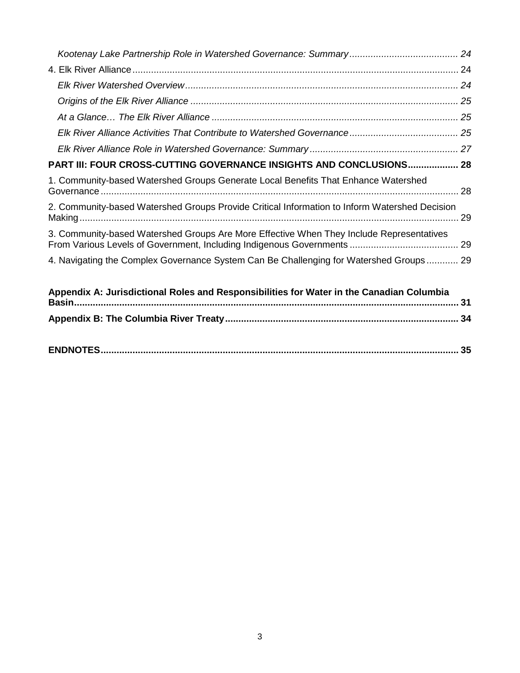| PART III: FOUR CROSS-CUTTING GOVERNANCE INSIGHTS AND CONCLUSIONS 28                           |    |
|-----------------------------------------------------------------------------------------------|----|
| 1. Community-based Watershed Groups Generate Local Benefits That Enhance Watershed            |    |
| 2. Community-based Watershed Groups Provide Critical Information to Inform Watershed Decision |    |
| 3. Community-based Watershed Groups Are More Effective When They Include Representatives      |    |
| 4. Navigating the Complex Governance System Can Be Challenging for Watershed Groups 29        |    |
| Appendix A: Jurisdictional Roles and Responsibilities for Water in the Canadian Columbia      | 31 |
|                                                                                               |    |

|--|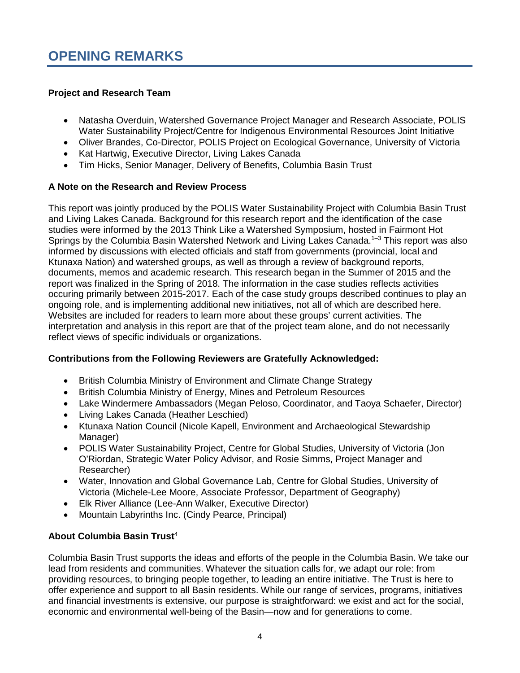#### <span id="page-3-0"></span>**Project and Research Team**

- Natasha Overduin, Watershed Governance Project Manager and Research Associate, POLIS Water Sustainability Project/Centre for Indigenous Environmental Resources Joint Initiative
- Oliver Brandes, Co-Director, POLIS Project on Ecological Governance, University of Victoria
- Kat Hartwig, Executive Director, Living Lakes Canada
- Tim Hicks, Senior Manager, Delivery of Benefits, Columbia Basin Trust

#### **A Note on the Research and Review Process**

This report was jointly produced by the POLIS Water Sustainability Project with Columbia Basin Trust and Living Lakes Canada. Background for this research report and the identification of the case studies were informed by the 2013 Think Like a Watershed Symposium, hosted in Fairmont Hot Springs by the Columbia Basin Watershed Network and Living Lakes Canada.<sup>1-3</sup> This report was also informed by discussions with elected officials and staff from governments (provincial, local and Ktunaxa Nation) and watershed groups, as well as through a review of background reports, documents, memos and academic research. This research began in the Summer of 2015 and the report was finalized in the Spring of 2018. The information in the case studies reflects activities occuring primarily between 2015-2017. Each of the case study groups described continues to play an ongoing role, and is implementing additional new initiatives, not all of which are described here. Websites are included for readers to learn more about these groups' current activities. The interpretation and analysis in this report are that of the project team alone, and do not necessarily reflect views of specific individuals or organizations.

#### **Contributions from the Following Reviewers are Gratefully Acknowledged:**

- British Columbia Ministry of Environment and Climate Change Strategy
- British Columbia Ministry of Energy, Mines and Petroleum Resources
- Lake Windermere Ambassadors (Megan Peloso, Coordinator, and Taoya Schaefer, Director)
- Living Lakes Canada (Heather Leschied)
- Ktunaxa Nation Council (Nicole Kapell, Environment and Archaeological Stewardship Manager)
- POLIS Water Sustainability Project, Centre for Global Studies, University of Victoria (Jon O'Riordan, Strategic Water Policy Advisor, and Rosie Simms, Project Manager and Researcher)
- Water, Innovation and Global Governance Lab, Centre for Global Studies, University of Victoria (Michele-Lee Moore, Associate Professor, Department of Geography)
- Elk River Alliance (Lee-Ann Walker, Executive Director)
- Mountain Labyrinths Inc. (Cindy Pearce, Principal)

### **About Columbia Basin Trust**<sup>4</sup>

Columbia Basin Trust supports the ideas and efforts of the people in the Columbia Basin. We take our lead from residents and communities. Whatever the situation calls for, we adapt our role: from providing resources, to bringing people together, to leading an entire initiative. The Trust is here to offer experience and support to all Basin residents. While our range of services, programs, initiatives and financial investments is extensive, our purpose is straightforward: we exist and act for the social, economic and environmental well-being of the Basin—now and for generations to come.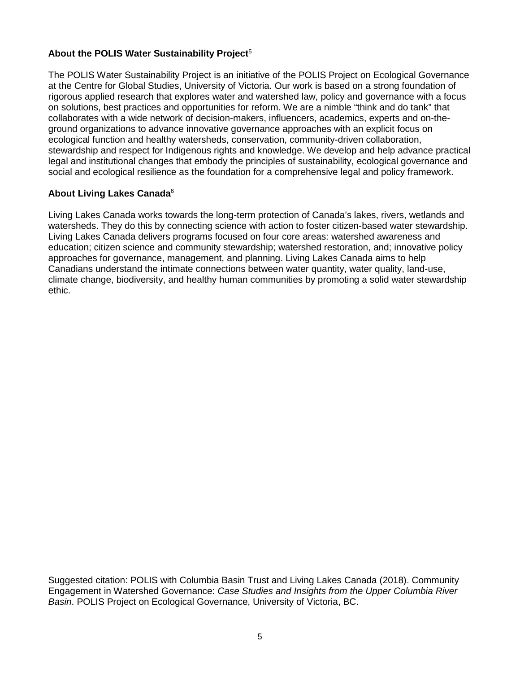#### **About the POLIS Water Sustainability Project**<sup>5</sup>

The POLIS Water Sustainability Project is an initiative of the POLIS Project on Ecological Governance at the Centre for Global Studies, University of Victoria. Our work is based on a strong foundation of rigorous applied research that explores water and watershed law, policy and governance with a focus on solutions, best practices and opportunities for reform. We are a nimble "think and do tank" that collaborates with a wide network of decision-makers, influencers, academics, experts and on-theground organizations to advance innovative governance approaches with an explicit focus on ecological function and healthy watersheds, conservation, community-driven collaboration, stewardship and respect for Indigenous rights and knowledge. We develop and help advance practical legal and institutional changes that embody the principles of sustainability, ecological governance and social and ecological resilience as the foundation for a comprehensive legal and policy framework.

#### **About Living Lakes Canada**<sup>6</sup>

Living Lakes Canada works towards the long-term protection of Canada's lakes, rivers, wetlands and watersheds. They do this by connecting science with action to foster citizen-based water stewardship. Living Lakes Canada delivers programs focused on four core areas: watershed awareness and education; citizen science and community stewardship; watershed restoration, and; innovative policy approaches for governance, management, and planning. Living Lakes Canada aims to help Canadians understand the intimate connections between water quantity, water quality, land-use, climate change, biodiversity, and healthy human communities by promoting a solid water stewardship ethic.

Suggested citation: POLIS with Columbia Basin Trust and Living Lakes Canada (2018). Community Engagement in Watershed Governance: *Case Studies and Insights from the Upper Columbia River Basin*. POLIS Project on Ecological Governance, University of Victoria, BC.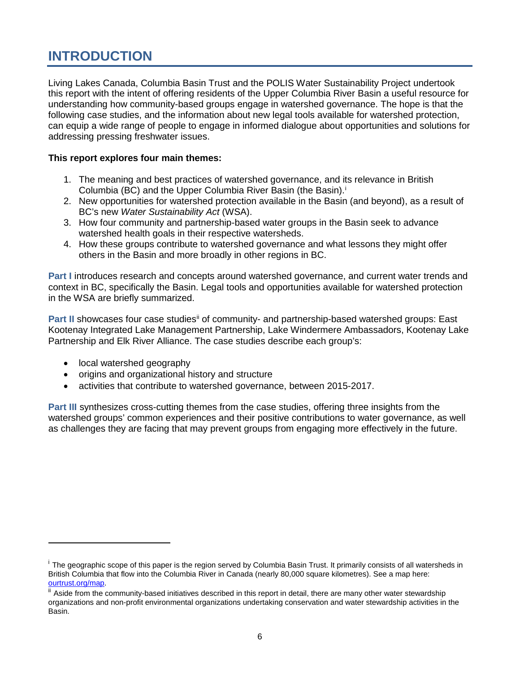# <span id="page-5-0"></span>**INTRODUCTION**

Living Lakes Canada, Columbia Basin Trust and the POLIS Water Sustainability Project undertook this report with the intent of offering residents of the Upper Columbia River Basin a useful resource for understanding how community-based groups engage in watershed governance. The hope is that the following case studies, and the information about new legal tools available for watershed protection, can equip a wide range of people to engage in informed dialogue about opportunities and solutions for addressing pressing freshwater issues.

#### **This report explores four main themes:**

- 1. The meaning and best practices of watershed governance, and its relevance in British Columb[i](#page-5-1)a (BC) and the Upper Columbia River Basin (the Basin).<sup>i</sup>
- 2. New opportunities for watershed protection available in the Basin (and beyond), as a result of BC's new *Water Sustainability Act* (WSA).
- 3. How four community and partnership-based water groups in the Basin seek to advance watershed health goals in their respective watersheds.
- 4. How these groups contribute to watershed governance and what lessons they might offer others in the Basin and more broadly in other regions in BC.

**Part I** introduces research and concepts around watershed governance, and current water trends and context in BC, specifically the Basin. Legal tools and opportunities available for watershed protection in the WSA are briefly summarized.

**Part II** showcases four case studies<sup>[ii](#page-5-2)</sup> of community- and partnership-based watershed groups: East Kootenay Integrated Lake Management Partnership, Lake Windermere Ambassadors, Kootenay Lake Partnership and Elk River Alliance. The case studies describe each group's:

• local watershed geography

 $\overline{a}$ 

- origins and organizational history and structure
- activities that contribute to watershed governance, between 2015-2017.

**Part III** synthesizes cross-cutting themes from the case studies, offering three insights from the watershed groups' common experiences and their positive contributions to water governance, as well as challenges they are facing that may prevent groups from engaging more effectively in the future.

<span id="page-5-1"></span><sup>&</sup>lt;sup>i</sup> The geographic scope of this paper is the region served by Columbia Basin Trust. It primarily consists of all watersheds in British Columbia that flow into the Columbia River in Canada (nearly 80,000 square kilometres). See a map here:<br>ourtrust.org/map.

<span id="page-5-2"></span> $\mathbb{I}$  Aside from the community-based initiatives described in this report in detail, there are many other water stewardship organizations and non-profit environmental organizations undertaking conservation and water stewardship activities in the Basin.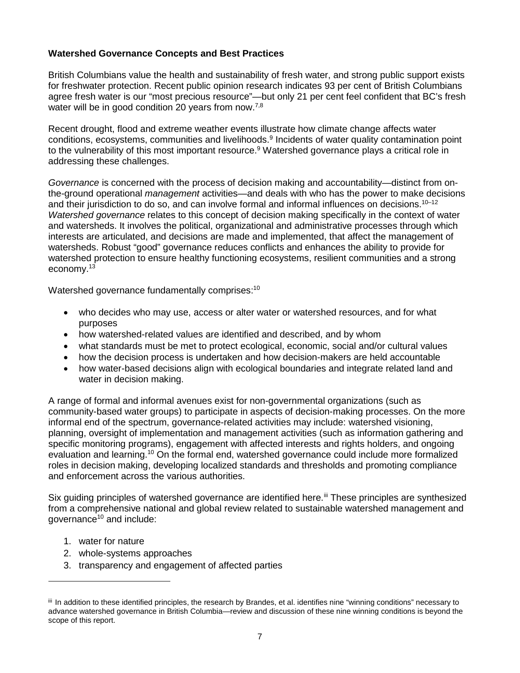#### **Watershed Governance Concepts and Best Practices**

British Columbians value the health and sustainability of fresh water, and strong public support exists for freshwater protection. Recent public opinion research indicates 93 per cent of British Columbians agree fresh water is our "most precious resource"—but only 21 per cent feel confident that BC's fresh water will be in good condition 20 years from now.<sup>7,8</sup>

Recent drought, flood and extreme weather events illustrate how climate change affects water conditions, ecosystems, communities and livelihoods.<sup>9</sup> Incidents of water quality contamination point to the vulnerability of this most important resource.<sup>9</sup> Watershed governance plays a critical role in addressing these challenges.

*Governance* is concerned with the process of decision making and accountability—distinct from onthe-ground operational *management* activities—and deals with who has the power to make decisions and their jurisdiction to do so, and can involve formal and informal influences on decisions.<sup>10-12</sup> *Watershed governance* relates to this concept of decision making specifically in the context of water and watersheds. It involves the political, organizational and administrative processes through which interests are articulated, and decisions are made and implemented, that affect the management of watersheds. Robust "good" governance reduces conflicts and enhances the ability to provide for watershed protection to ensure healthy functioning ecosystems, resilient communities and a strong economy.13

Watershed governance fundamentally comprises: $^{10}$ 

- who decides who may use, access or alter water or watershed resources, and for what purposes
- how watershed-related values are identified and described, and by whom
- what standards must be met to protect ecological, economic, social and/or cultural values
- how the decision process is undertaken and how decision-makers are held accountable
- how water-based decisions align with ecological boundaries and integrate related land and water in decision making.

A range of formal and informal avenues exist for non-governmental organizations (such as community-based water groups) to participate in aspects of decision-making processes. On the more informal end of the spectrum, governance-related activities may include: watershed visioning, planning, oversight of implementation and management activities (such as information gathering and specific monitoring programs), engagement with affected interests and rights holders, and ongoing evaluation and learning.<sup>10</sup> On the formal end, watershed governance could include more formalized roles in decision making, developing localized standards and thresholds and promoting compliance and enforcement across the various authorities.

Six guiding principles of watershed governance are identified here.<sup>[iii](#page-6-0)</sup> These principles are synthesized from a comprehensive national and global review related to sustainable watershed management and governance<sup>10</sup> and include:

1. water for nature

 $\overline{a}$ 

- 2. whole-systems approaches
- 3. transparency and engagement of affected parties

<span id="page-6-0"></span>iii In addition to these identified principles, the research by Brandes, et al. identifies nine "winning conditions" necessary to advance watershed governance in British Columbia—review and discussion of these nine winning conditions is beyond the scope of this report.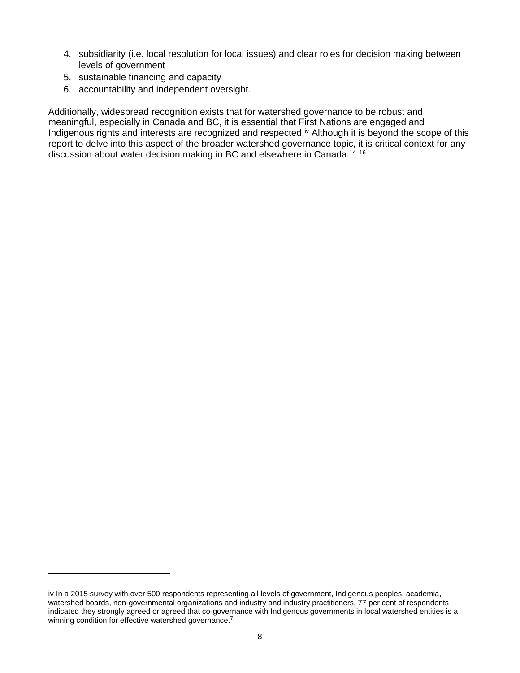- 4. subsidiarity (i.e. local resolution for local issues) and clear roles for decision making between levels of government
- 5. sustainable financing and capacity

 $\overline{a}$ 

6. accountability and independent oversight.

Additionally, widespread recognition exists that for watershed governance to be robust and meaningful, especially in Canada and BC, it is essential that First Nations are engaged and Indigenous rights and interests are recognized and respected.<sup>[iv](#page-7-0)</sup> Although it is beyond the scope of this report to delve into this aspect of the broader watershed governance topic, it is critical context for any discussion about water decision making in BC and elsewhere in Canada. 14–16

<span id="page-7-0"></span>iv In a 2015 survey with over 500 respondents representing all levels of government, Indigenous peoples, academia, watershed boards, non-governmental organizations and industry and industry practitioners, 77 per cent of respondents indicated they strongly agreed or agreed that co-governance with Indigenous governments in local watershed entities is a winning condition for effective watershed governance.<sup>7</sup>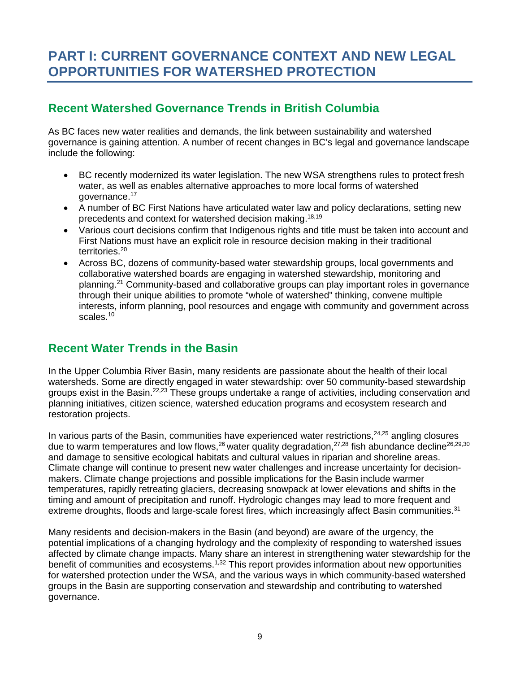# <span id="page-8-0"></span>**PART I: CURRENT GOVERNANCE CONTEXT AND NEW LEGAL OPPORTUNITIES FOR WATERSHED PROTECTION**

# <span id="page-8-1"></span>**Recent Watershed Governance Trends in British Columbia**

As BC faces new water realities and demands, the link between sustainability and watershed governance is gaining attention. A number of recent changes in BC's legal and governance landscape include the following:

- BC recently modernized its water legislation. The new WSA strengthens rules to protect fresh water, as well as enables alternative approaches to more local forms of watershed governance.17
- A number of BC First Nations have articulated water law and policy declarations, setting new precedents and context for watershed decision making. 18,19
- Various court decisions confirm that Indigenous rights and title must be taken into account and First Nations must have an explicit role in resource decision making in their traditional territories.<sup>20</sup>
- Across BC, dozens of community-based water stewardship groups, local governments and collaborative watershed boards are engaging in watershed stewardship, monitoring and planning. <sup>21</sup> Community-based and collaborative groups can play important roles in governance through their unique abilities to promote "whole of watershed" thinking, convene multiple interests, inform planning, pool resources and engage with community and government across scales. 10

# <span id="page-8-2"></span>**Recent Water Trends in the Basin**

In the Upper Columbia River Basin, many residents are passionate about the health of their local watersheds. Some are directly engaged in water stewardship: over 50 community-based stewardship groups exist in the Basin.22,23 These groups undertake a range of activities, including conservation and planning initiatives, citizen science, watershed education programs and ecosystem research and restoration projects.

In various parts of the Basin, communities have experienced water restrictions,<sup>24,25</sup> angling closures due to warm temperatures and low flows,  $^{26}$  water quality degradation,  $^{27,28}$  fish abundance decline  $^{26,29,30}$ and damage to sensitive ecological habitats and cultural values in riparian and shoreline areas. Climate change will continue to present new water challenges and increase uncertainty for decisionmakers. Climate change projections and possible implications for the Basin include warmer temperatures, rapidly retreating glaciers, decreasing snowpack at lower elevations and shifts in the timing and amount of precipitation and runoff. Hydrologic changes may lead to more frequent and extreme droughts, floods and large-scale forest fires, which increasingly affect Basin communities.<sup>31</sup>

Many residents and decision-makers in the Basin (and beyond) are aware of the urgency, the potential implications of a changing hydrology and the complexity of responding to watershed issues affected by climate change impacts. Many share an interest in strengthening water stewardship for the benefit of communities and ecosystems.<sup>1,32</sup> This report provides information about new opportunities for watershed protection under the WSA, and the various ways in which community-based watershed groups in the Basin are supporting conservation and stewardship and contributing to watershed governance.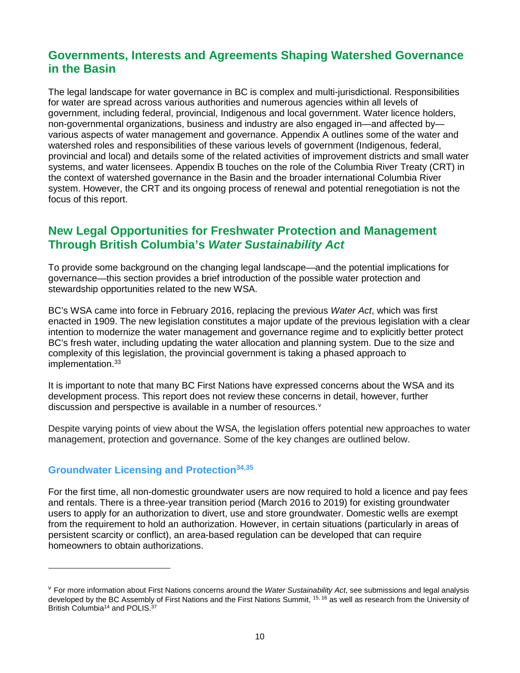# <span id="page-9-0"></span>**Governments, Interests and Agreements Shaping Watershed Governance in the Basin**

The legal landscape for water governance in BC is complex and multi-jurisdictional. Responsibilities for water are spread across various authorities and numerous agencies within all levels of government, including federal, provincial, Indigenous and local government. Water licence holders, non-governmental organizations, business and industry are also engaged in—and affected by various aspects of water management and governance. Appendix A outlines some of the water and watershed roles and responsibilities of these various levels of government (Indigenous, federal, provincial and local) and details some of the related activities of improvement districts and small water systems, and water licensees. Appendix B touches on the role of the Columbia River Treaty (CRT) in the context of watershed governance in the Basin and the broader international Columbia River system. However, the CRT and its ongoing process of renewal and potential renegotiation is not the focus of this report.

### <span id="page-9-1"></span>**New Legal Opportunities for Freshwater Protection and Management Through British Columbia's** *Water Sustainability Act*

To provide some background on the changing legal landscape—and the potential implications for governance—this section provides a brief introduction of the possible water protection and stewardship opportunities related to the new WSA.

BC's WSA came into force in February 2016, replacing the previous *Water Act*, which was first enacted in 1909. The new legislation constitutes a major update of the previous legislation with a clear intention to modernize the water management and governance regime and to explicitly better protect BC's fresh water, including updating the water allocation and planning system. Due to the size and complexity of this legislation, the provincial government is taking a phased approach to implementation.<sup>33</sup>

It is important to note that many BC First Nations have expressed concerns about the WSA and its development process. This report does not review these concerns in detail, however, further discussion and perspecti[v](#page-9-3)e is available in a number of resources.<sup>v</sup>

Despite varying points of view about the WSA, the legislation offers potential new approaches to water management, protection and governance. Some of the key changes are outlined below.

#### <span id="page-9-2"></span>**Groundwater Licensing and Protection34,35**

 $\overline{a}$ 

For the first time, all non-domestic groundwater users are now required to hold a licence and pay fees and rentals. There is a three-year transition period (March 2016 to 2019) for existing groundwater users to apply for an authorization to divert, use and store groundwater. Domestic wells are exempt from the requirement to hold an authorization. However, in certain situations (particularly in areas of persistent scarcity or conflict), an area-based regulation can be developed that can require homeowners to obtain authorizations.

<span id="page-9-3"></span><sup>v</sup> For more information about First Nations concerns around the *Water Sustainability Act*, see submissions and legal analysis developed by the BC Assembly of First Nations and the First Nations Summit, <sup>15, 16</sup> as well as research from the University of British Columbia<sup>14</sup> and POLIS.<sup>37</sup>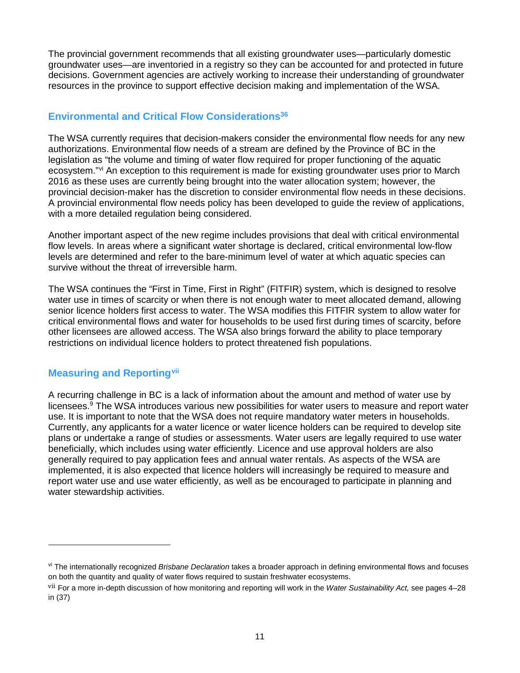The provincial government recommends that all existing groundwater uses—particularly domestic groundwater uses—are inventoried in a registry so they can be accounted for and protected in future decisions. Government agencies are actively working to increase their understanding of groundwater resources in the province to support effective decision making and implementation of the WSA.

#### <span id="page-10-0"></span>**Environmental and Critical Flow Considerations<sup>36</sup>**

The WSA currently requires that decision-makers consider the environmental flow needs for any new authorizations. Environmental flow needs of a stream are defined by the Province of BC in the legislation as "the volume and timing of water flow required for proper functioning of the aquatic ecosystem."<sup>[vi](#page-10-2)</sup> An exception to this requirement is made for existing groundwater uses prior to March 2016 as these uses are currently being brought into the water allocation system; however, the provincial decision-maker has the discretion to consider environmental flow needs in these decisions. A provincial environmental flow needs policy has been developed to guide the review of applications, with a more detailed regulation being considered.

Another important aspect of the new regime includes provisions that deal with critical environmental flow levels. In areas where a significant water shortage is declared, critical environmental low-flow levels are determined and refer to the bare-minimum level of water at which aquatic species can survive without the threat of irreversible harm.

The WSA continues the "First in Time, First in Right" (FITFIR) system, which is designed to resolve water use in times of scarcity or when there is not enough water to meet allocated demand, allowing senior licence holders first access to water. The WSA modifies this FITFIR system to allow water for critical environmental flows and water for households to be used first during times of scarcity, before other licensees are allowed access. The WSA also brings forward the ability to place temporary restrictions on individual licence holders to protect threatened fish populations.

### <span id="page-10-1"></span>**Measuring and Reporting[vii](#page-10-3)**

 $\overline{a}$ 

A recurring challenge in BC is a lack of information about the amount and method of water use by licensees.<sup>9</sup> The WSA introduces various new possibilities for water users to measure and report water use. It is important to note that the WSA does not require mandatory water meters in households. Currently, any applicants for a water licence or water licence holders can be required to develop site plans or undertake a range of studies or assessments. Water users are legally required to use water beneficially, which includes using water efficiently. Licence and use approval holders are also generally required to pay application fees and annual water rentals. As aspects of the WSA are implemented, it is also expected that licence holders will increasingly be required to measure and report water use and use water efficiently, as well as be encouraged to participate in planning and water stewardship activities.

<span id="page-10-2"></span>vi The internationally recognized *Brisbane Declaration* takes a broader approach in defining environmental flows and focuses on both the quantity and quality of water flows required to sustain freshwater ecosystems.

<span id="page-10-3"></span>vii For a more in-depth discussion of how monitoring and reporting will work in the *Water Sustainability Act,* see pages 4–28 in (37)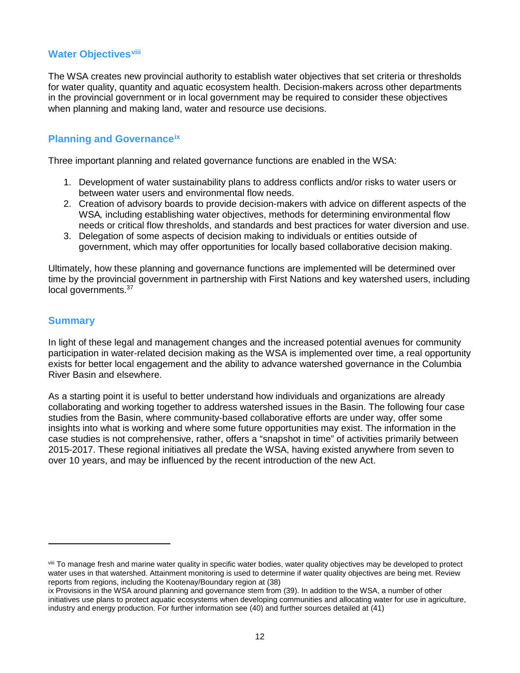#### <span id="page-11-0"></span>**Water Objectives[viii](#page-11-3)**

The WSA creates new provincial authority to establish water objectives that set criteria or thresholds for water quality, quantity and aquatic ecosystem health. Decision-makers across other departments in the provincial government or in local government may be required to consider these objectives when planning and making land, water and resource use decisions.

#### <span id="page-11-1"></span>**Planning and Governanc[eix](#page-11-4)**

Three important planning and related governance functions are enabled in the WSA:

- 1. Development of water sustainability plans to address conflicts and/or risks to water users or between water users and environmental flow needs.
- 2. Creation of advisory boards to provide decision-makers with advice on different aspects of the WSA*,* including establishing water objectives, methods for determining environmental flow needs or critical flow thresholds, and standards and best practices for water diversion and use.
- 3. Delegation of some aspects of decision making to individuals or entities outside of government, which may offer opportunities for locally based collaborative decision making.

Ultimately, how these planning and governance functions are implemented will be determined over time by the provincial government in partnership with First Nations and key watershed users, including local governments.<sup>37</sup>

#### <span id="page-11-2"></span>**Summary**

 $\overline{a}$ 

In light of these legal and management changes and the increased potential avenues for community participation in water-related decision making as the WSA is implemented over time, a real opportunity exists for better local engagement and the ability to advance watershed governance in the Columbia River Basin and elsewhere.

As a starting point it is useful to better understand how individuals and organizations are already collaborating and working together to address watershed issues in the Basin. The following four case studies from the Basin, where community-based collaborative efforts are under way, offer some insights into what is working and where some future opportunities may exist. The information in the case studies is not comprehensive, rather, offers a "snapshot in time" of activities primarily between 2015-2017. These regional initiatives all predate the WSA, having existed anywhere from seven to over 10 years, and may be influenced by the recent introduction of the new Act.

<span id="page-11-3"></span>viii To manage fresh and marine water quality in specific water bodies, water quality objectives may be developed to protect water uses in that watershed. Attainment monitoring is used to determine if water quality objectives are being met. Review reports from regions, including the Kootenay/Boundary region at (38)

<span id="page-11-4"></span>ix Provisions in the WSA around planning and governance stem from (39). In addition to the WSA, a number of other initiatives use plans to protect aquatic ecosystems when developing communities and allocating water for use in agriculture, industry and energy production. For further information see (40) and further sources detailed at (41)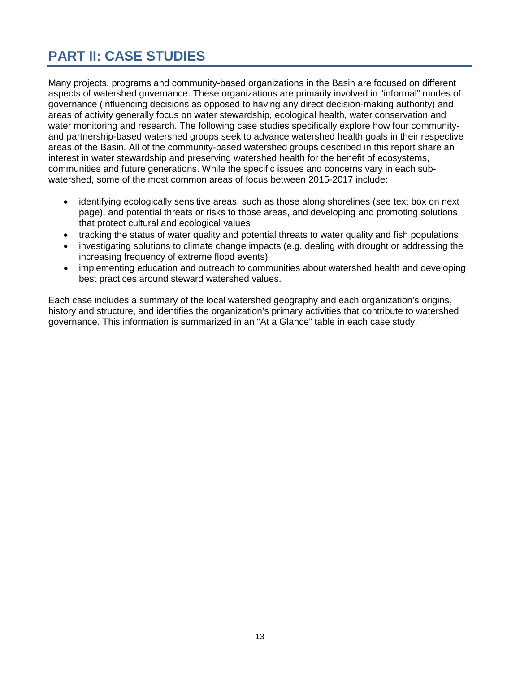# <span id="page-12-0"></span>**PART II: CASE STUDIES**

Many projects, programs and community-based organizations in the Basin are focused on different aspects of watershed governance. These organizations are primarily involved in "informal" modes of governance (influencing decisions as opposed to having any direct decision-making authority) and areas of activity generally focus on water stewardship, ecological health, water conservation and water monitoring and research. The following case studies specifically explore how four communityand partnership-based watershed groups seek to advance watershed health goals in their respective areas of the Basin. All of the community-based watershed groups described in this report share an interest in water stewardship and preserving watershed health for the benefit of ecosystems, communities and future generations. While the specific issues and concerns vary in each subwatershed, some of the most common areas of focus between 2015-2017 include:

- identifying ecologically sensitive areas, such as those along shorelines (see text box on next page), and potential threats or risks to those areas, and developing and promoting solutions that protect cultural and ecological values
- tracking the status of water quality and potential threats to water quality and fish populations
- investigating solutions to climate change impacts (e.g. dealing with drought or addressing the increasing frequency of extreme flood events)
- implementing education and outreach to communities about watershed health and developing best practices around steward watershed values.

Each case includes a summary of the local watershed geography and each organization's origins, history and structure, and identifies the organization's primary activities that contribute to watershed governance. This information is summarized in an "At a Glance" table in each case study.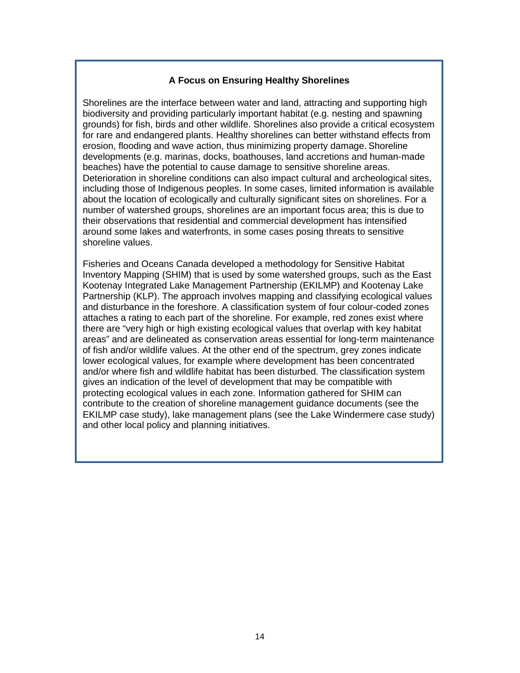#### **A Focus on Ensuring Healthy Shorelines**

Shorelines are the interface between water and land, attracting and supporting high biodiversity and providing particularly important habitat (e.g. nesting and spawning grounds) for fish, birds and other wildlife. Shorelines also provide a critical ecosystem for rare and endangered plants. Healthy shorelines can better withstand effects from erosion, flooding and wave action, thus minimizing property damage. Shoreline developments (e.g. marinas, docks, boathouses, land accretions and human-made beaches) have the potential to cause damage to sensitive shoreline areas. Deterioration in shoreline conditions can also impact cultural and archeological sites, including those of Indigenous peoples. In some cases, limited information is available about the location of ecologically and culturally significant sites on shorelines. For a number of watershed groups, shorelines are an important focus area; this is due to their observations that residential and commercial development has intensified around some lakes and waterfronts, in some cases posing threats to sensitive shoreline values.

Fisheries and Oceans Canada developed a methodology for Sensitive Habitat Inventory Mapping (SHIM) that is used by some watershed groups, such as the East Kootenay Integrated Lake Management Partnership (EKILMP) and Kootenay Lake Partnership (KLP). The approach involves mapping and classifying ecological values and disturbance in the foreshore. A classification system of four colour-coded zones attaches a rating to each part of the shoreline. For example, red zones exist where there are "very high or high existing ecological values that overlap with key habitat areas" and are delineated as conservation areas essential for long-term maintenance of fish and/or wildlife values. At the other end of the spectrum, grey zones indicate lower ecological values, for example where development has been concentrated and/or where fish and wildlife habitat has been disturbed. The classification system gives an indication of the level of development that may be compatible with protecting ecological values in each zone. Information gathered for SHIM can contribute to the creation of shoreline management guidance documents (see the EKILMP case study), lake management plans (see the Lake Windermere case study) and other local policy and planning initiatives.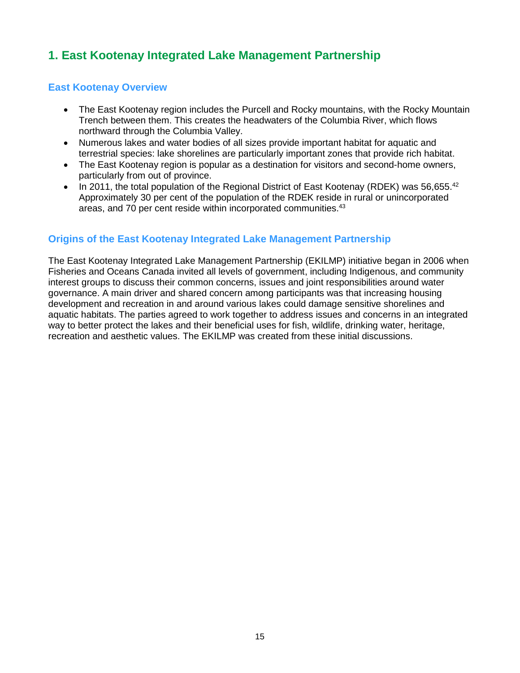# <span id="page-14-0"></span>**1. East Kootenay Integrated Lake Management Partnership**

#### <span id="page-14-1"></span>**East Kootenay Overview**

- The East Kootenay region includes the Purcell and Rocky mountains, with the Rocky Mountain Trench between them. This creates the headwaters of the Columbia River, which flows northward through the Columbia Valley.
- Numerous lakes and water bodies of all sizes provide important habitat for aquatic and terrestrial species: lake shorelines are particularly important zones that provide rich habitat.
- The East Kootenay region is popular as a destination for visitors and second-home owners, particularly from out of province.
- In 2011, the total population of the Regional District of East Kootenay (RDEK) was 56,655.<sup>42</sup> Approximately 30 per cent of the population of the RDEK reside in rural or unincorporated areas, and 70 per cent reside within incorporated communities. 43

#### <span id="page-14-2"></span>**Origins of the East Kootenay Integrated Lake Management Partnership**

The East Kootenay Integrated Lake Management Partnership (EKILMP) initiative began in 2006 when Fisheries and Oceans Canada invited all levels of government, including Indigenous, and community interest groups to discuss their common concerns, issues and joint responsibilities around water governance. A main driver and shared concern among participants was that increasing housing development and recreation in and around various lakes could damage sensitive shorelines and aquatic habitats. The parties agreed to work together to address issues and concerns in an integrated way to better protect the lakes and their beneficial uses for fish, wildlife, drinking water, heritage, recreation and aesthetic values. The EKILMP was created from these initial discussions.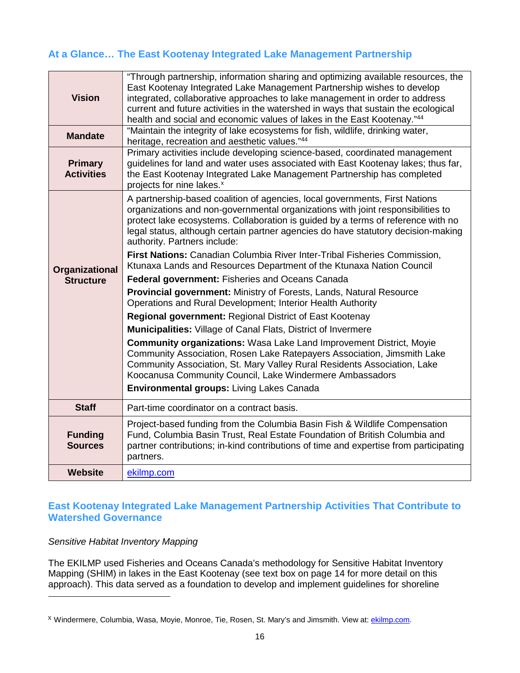### <span id="page-15-0"></span>**At a Glance… The East Kootenay Integrated Lake Management Partnership**

| <b>Vision</b>                       | "Through partnership, information sharing and optimizing available resources, the<br>East Kootenay Integrated Lake Management Partnership wishes to develop<br>integrated, collaborative approaches to lake management in order to address<br>current and future activities in the watershed in ways that sustain the ecological<br>health and social and economic values of lakes in the East Kootenay."44 |
|-------------------------------------|-------------------------------------------------------------------------------------------------------------------------------------------------------------------------------------------------------------------------------------------------------------------------------------------------------------------------------------------------------------------------------------------------------------|
| <b>Mandate</b>                      | "Maintain the integrity of lake ecosystems for fish, wildlife, drinking water,<br>heritage, recreation and aesthetic values."44                                                                                                                                                                                                                                                                             |
| <b>Primary</b><br><b>Activities</b> | Primary activities include developing science-based, coordinated management<br>guidelines for land and water uses associated with East Kootenay lakes; thus far,<br>the East Kootenay Integrated Lake Management Partnership has completed<br>projects for nine lakes. <sup>x</sup>                                                                                                                         |
|                                     | A partnership-based coalition of agencies, local governments, First Nations<br>organizations and non-governmental organizations with joint responsibilities to<br>protect lake ecosystems. Collaboration is guided by a terms of reference with no<br>legal status, although certain partner agencies do have statutory decision-making<br>authority. Partners include:                                     |
| Organizational                      | First Nations: Canadian Columbia River Inter-Tribal Fisheries Commission,<br>Ktunaxa Lands and Resources Department of the Ktunaxa Nation Council                                                                                                                                                                                                                                                           |
| <b>Structure</b>                    | Federal government: Fisheries and Oceans Canada                                                                                                                                                                                                                                                                                                                                                             |
|                                     | Provincial government: Ministry of Forests, Lands, Natural Resource<br>Operations and Rural Development; Interior Health Authority                                                                                                                                                                                                                                                                          |
|                                     | Regional government: Regional District of East Kootenay                                                                                                                                                                                                                                                                                                                                                     |
|                                     | Municipalities: Village of Canal Flats, District of Invermere                                                                                                                                                                                                                                                                                                                                               |
|                                     | <b>Community organizations: Wasa Lake Land Improvement District, Moyie</b><br>Community Association, Rosen Lake Ratepayers Association, Jimsmith Lake<br>Community Association, St. Mary Valley Rural Residents Association, Lake<br>Koocanusa Community Council, Lake Windermere Ambassadors<br>Environmental groups: Living Lakes Canada                                                                  |
| <b>Staff</b>                        | Part-time coordinator on a contract basis.                                                                                                                                                                                                                                                                                                                                                                  |
| <b>Funding</b><br><b>Sources</b>    | Project-based funding from the Columbia Basin Fish & Wildlife Compensation<br>Fund, Columbia Basin Trust, Real Estate Foundation of British Columbia and<br>partner contributions; in-kind contributions of time and expertise from participating<br>partners.                                                                                                                                              |
| <b>Website</b>                      | ekilmp.com                                                                                                                                                                                                                                                                                                                                                                                                  |

#### <span id="page-15-1"></span>**East Kootenay Integrated Lake Management Partnership Activities That Contribute to Watershed Governance**

#### *Sensitive Habitat Inventory Mapping*

 $\overline{a}$ 

The EKILMP used Fisheries and Oceans Canada's methodology for Sensitive Habitat Inventory Mapping (SHIM) in lakes in the East Kootenay (see text box on page 14 for more detail on this approach). This data served as a foundation to develop and implement guidelines for shoreline

<span id="page-15-2"></span>x Windermere, Columbia, Wasa, Moyie, Monroe, Tie, Rosen, St. Mary's and Jimsmith. View at: [ekilmp.com.](http://www.ekilmp.com/)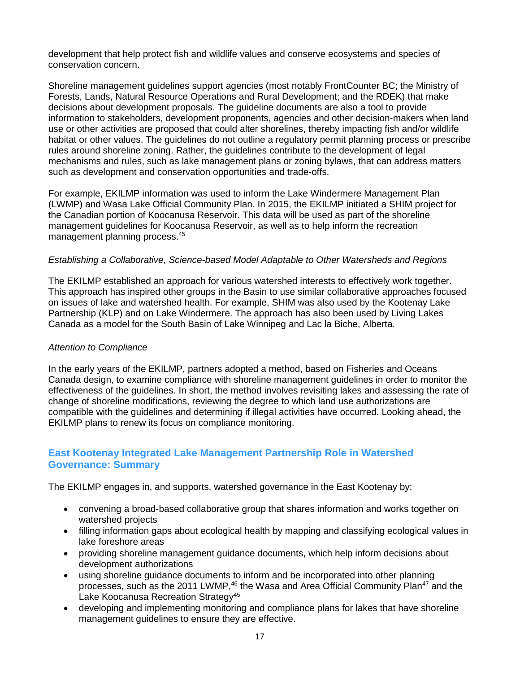development that help protect fish and wildlife values and conserve ecosystems and species of conservation concern.

Shoreline management guidelines support agencies (most notably FrontCounter BC; the Ministry of Forests, Lands, Natural Resource Operations and Rural Development; and the RDEK) that make decisions about development proposals. The guideline documents are also a tool to provide information to stakeholders, development proponents, agencies and other decision-makers when land use or other activities are proposed that could alter shorelines, thereby impacting fish and/or wildlife habitat or other values. The guidelines do not outline a regulatory permit planning process or prescribe rules around shoreline zoning. Rather, the guidelines contribute to the development of legal mechanisms and rules, such as lake management plans or zoning bylaws, that can address matters such as development and conservation opportunities and trade-offs.

For example, EKILMP information was used to inform the Lake Windermere Management Plan (LWMP) and Wasa Lake Official Community Plan. In 2015, the EKILMP initiated a SHIM project for the Canadian portion of Koocanusa Reservoir. This data will be used as part of the shoreline management guidelines for Koocanusa Reservoir, as well as to help inform the recreation management planning process.45

#### *Establishing a Collaborative, Science-based Model Adaptable to Other Watersheds and Regions*

The EKILMP established an approach for various watershed interests to effectively work together. This approach has inspired other groups in the Basin to use similar collaborative approaches focused on issues of lake and watershed health. For example, SHIM was also used by the Kootenay Lake Partnership (KLP) and on Lake Windermere. The approach has also been used by Living Lakes Canada as a model for the South Basin of Lake Winnipeg and Lac la Biche, Alberta.

#### *Attention to Compliance*

In the early years of the EKILMP, partners adopted a method, based on Fisheries and Oceans Canada design, to examine compliance with shoreline management guidelines in order to monitor the effectiveness of the guidelines. In short, the method involves revisiting lakes and assessing the rate of change of shoreline modifications, reviewing the degree to which land use authorizations are compatible with the guidelines and determining if illegal activities have occurred. Looking ahead, the EKILMP plans to renew its focus on compliance monitoring.

#### <span id="page-16-0"></span>**East Kootenay Integrated Lake Management Partnership Role in Watershed Governance: Summary**

The EKILMP engages in, and supports, watershed governance in the East Kootenay by:

- convening a broad-based collaborative group that shares information and works together on watershed projects
- filling information gaps about ecological health by mapping and classifying ecological values in lake foreshore areas
- providing shoreline management guidance documents, which help inform decisions about development authorizations
- using shoreline guidance documents to inform and be incorporated into other planning processes, such as the 2011 LWMP,<sup>46</sup> the Wasa and Area Official Community Plan<sup>47</sup> and the Lake Koocanusa Recreation Strategy<sup>45</sup>
- developing and implementing monitoring and compliance plans for lakes that have shoreline management guidelines to ensure they are effective.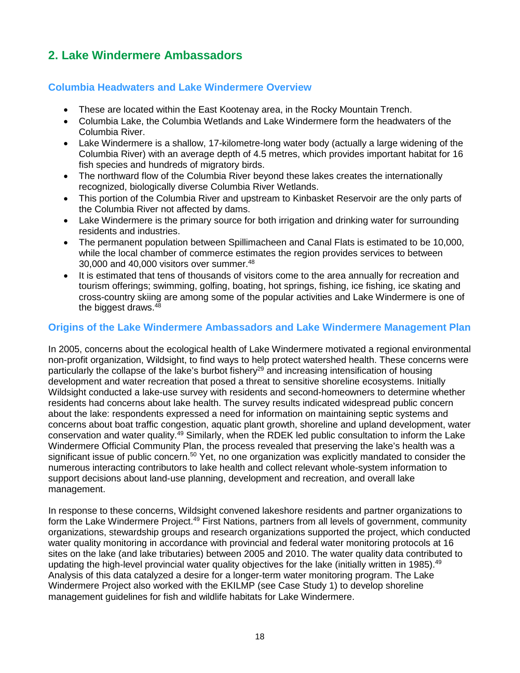# <span id="page-17-0"></span>**2. Lake Windermere Ambassadors**

#### <span id="page-17-1"></span>**Columbia Headwaters and Lake Windermere Overview**

- These are located within the East Kootenay area, in the Rocky Mountain Trench.
- Columbia Lake, the Columbia Wetlands and Lake Windermere form the headwaters of the Columbia River.
- Lake Windermere is a shallow, 17-kilometre-long water body (actually a large widening of the Columbia River) with an average depth of 4.5 metres, which provides important habitat for 16 fish species and hundreds of migratory birds.
- The northward flow of the Columbia River beyond these lakes creates the internationally recognized, biologically diverse Columbia River Wetlands.
- This portion of the Columbia River and upstream to Kinbasket Reservoir are the only parts of the Columbia River not affected by dams.
- Lake Windermere is the primary source for both irrigation and drinking water for surrounding residents and industries.
- The permanent population between Spillimacheen and Canal Flats is estimated to be 10,000, while the local chamber of commerce estimates the region provides services to between 30,000 and 40,000 visitors over summer. 48
- It is estimated that tens of thousands of visitors come to the area annually for recreation and tourism offerings; swimming, golfing, boating, hot springs, fishing, ice fishing, ice skating and cross-country skiing are among some of the popular activities and Lake Windermere is one of the biggest draws.48

#### <span id="page-17-2"></span>**Origins of the Lake Windermere Ambassadors and Lake Windermere Management Plan**

In 2005, concerns about the ecological health of Lake Windermere motivated a regional environmental non-profit organization, Wildsight, to find ways to help protect watershed health. These concerns were particularly the collapse of the lake's burbot fishery<sup>29</sup> and increasing intensification of housing development and water recreation that posed a threat to sensitive shoreline ecosystems. Initially Wildsight conducted a lake-use survey with residents and second-homeowners to determine whether residents had concerns about lake health. The survey results indicated widespread public concern about the lake: respondents expressed a need for information on maintaining septic systems and concerns about boat traffic congestion, aquatic plant growth, shoreline and upland development, water conservation and water quality.<sup>49</sup> Similarly, when the RDEK led public consultation to inform the Lake Windermere Official Community Plan, the process revealed that preserving the lake's health was a significant issue of public concern.<sup>50</sup> Yet, no one organization was explicitly mandated to consider the numerous interacting contributors to lake health and collect relevant whole-system information to support decisions about land-use planning, development and recreation, and overall lake management.

In response to these concerns, Wildsight convened lakeshore residents and partner organizations to form the Lake Windermere Project.<sup>49</sup> First Nations, partners from all levels of government, community organizations, stewardship groups and research organizations supported the project, which conducted water quality monitoring in accordance with provincial and federal water monitoring protocols at 16 sites on the lake (and lake tributaries) between 2005 and 2010. The water quality data contributed to updating the high-level provincial water quality objectives for the lake (initially written in 1985).<sup>49</sup> Analysis of this data catalyzed a desire for a longer-term water monitoring program. The Lake Windermere Project also worked with the EKILMP (see Case Study 1) to develop shoreline management guidelines for fish and wildlife habitats for Lake Windermere.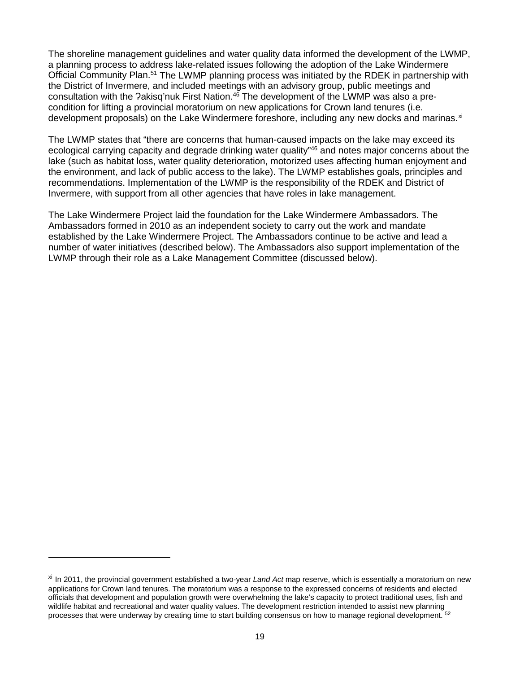The shoreline management guidelines and water quality data informed the development of the LWMP, a planning process to address lake-related issues following the adoption of the Lake Windermere Official Community Plan.<sup>51</sup> The LWMP planning process was initiated by the RDEK in partnership with the District of Invermere, and included meetings with an advisory group, public meetings and consultation with the ?akisq'nuk First Nation.<sup>46</sup> The development of the LWMP was also a precondition for lifting a provincial moratorium on new applications for Crown land tenures (i.e. development proposals) on the Lake Windermere foreshore, including any new docks and marinas. $^{\times}$ 

The LWMP states that "there are concerns that human-caused impacts on the lake may exceed its ecological carrying capacity and degrade drinking water quality"<sup>46</sup> and notes major concerns about the lake (such as habitat loss, water quality deterioration, motorized uses affecting human enjoyment and the environment, and lack of public access to the lake). The LWMP establishes goals, principles and recommendations. Implementation of the LWMP is the responsibility of the RDEK and District of Invermere, with support from all other agencies that have roles in lake management.

The Lake Windermere Project laid the foundation for the Lake Windermere Ambassadors. The Ambassadors formed in 2010 as an independent society to carry out the work and mandate established by the Lake Windermere Project. The Ambassadors continue to be active and lead a number of water initiatives (described below). The Ambassadors also support implementation of the LWMP through their role as a Lake Management Committee (discussed below).

 $\overline{a}$ 

<span id="page-18-0"></span>xi In 2011, the provincial government established a two-year *Land Act* map reserve, which is essentially a moratorium on new applications for Crown land tenures. The moratorium was a response to the expressed concerns of residents and elected officials that development and population growth were overwhelming the lake's capacity to protect traditional uses, fish and wildlife habitat and recreational and water quality values. The development restriction intended to assist new planning processes that were underway by creating time to start building consensus on how to manage regional development. 52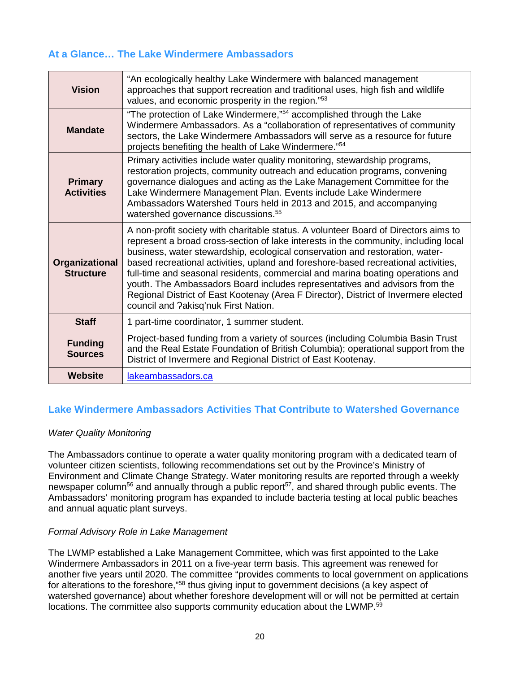#### <span id="page-19-0"></span>**At a Glance… The Lake Windermere Ambassadors**

| <b>Vision</b>                       | "An ecologically healthy Lake Windermere with balanced management<br>approaches that support recreation and traditional uses, high fish and wildlife<br>values, and economic prosperity in the region."53                                                                                                                                                                                                                                                                                                                                                                                                                                        |
|-------------------------------------|--------------------------------------------------------------------------------------------------------------------------------------------------------------------------------------------------------------------------------------------------------------------------------------------------------------------------------------------------------------------------------------------------------------------------------------------------------------------------------------------------------------------------------------------------------------------------------------------------------------------------------------------------|
| <b>Mandate</b>                      | "The protection of Lake Windermere,"54 accomplished through the Lake<br>Windermere Ambassadors. As a "collaboration of representatives of community<br>sectors, the Lake Windermere Ambassadors will serve as a resource for future<br>projects benefiting the health of Lake Windermere."54                                                                                                                                                                                                                                                                                                                                                     |
| <b>Primary</b><br><b>Activities</b> | Primary activities include water quality monitoring, stewardship programs,<br>restoration projects, community outreach and education programs, convening<br>governance dialogues and acting as the Lake Management Committee for the<br>Lake Windermere Management Plan. Events include Lake Windermere<br>Ambassadors Watershed Tours held in 2013 and 2015, and accompanying<br>watershed governance discussions. <sup>55</sup>                                                                                                                                                                                                                |
| Organizational<br><b>Structure</b>  | A non-profit society with charitable status. A volunteer Board of Directors aims to<br>represent a broad cross-section of lake interests in the community, including local<br>business, water stewardship, ecological conservation and restoration, water-<br>based recreational activities, upland and foreshore-based recreational activities,<br>full-time and seasonal residents, commercial and marina boating operations and<br>youth. The Ambassadors Board includes representatives and advisors from the<br>Regional District of East Kootenay (Area F Director), District of Invermere elected<br>council and ?akisq'nuk First Nation. |
| <b>Staff</b>                        | 1 part-time coordinator, 1 summer student.                                                                                                                                                                                                                                                                                                                                                                                                                                                                                                                                                                                                       |
| <b>Funding</b><br><b>Sources</b>    | Project-based funding from a variety of sources (including Columbia Basin Trust<br>and the Real Estate Foundation of British Columbia); operational support from the<br>District of Invermere and Regional District of East Kootenay.                                                                                                                                                                                                                                                                                                                                                                                                            |
| Website                             | lakeambassadors.ca                                                                                                                                                                                                                                                                                                                                                                                                                                                                                                                                                                                                                               |

#### <span id="page-19-1"></span>**Lake Windermere Ambassadors Activities That Contribute to Watershed Governance**

#### *Water Quality Monitoring*

The Ambassadors continue to operate a water quality monitoring program with a dedicated team of volunteer citizen scientists, following recommendations set out by the Province's Ministry of Environment and Climate Change Strategy. Water monitoring results are reported through a weekly newspaper column<sup>56</sup> and annually through a public report<sup>57</sup>, and shared through public events. The Ambassadors' monitoring program has expanded to include bacteria testing at local public beaches and annual aquatic plant surveys.

#### *Formal Advisory Role in Lake Management*

The LWMP established a Lake Management Committee, which was first appointed to the Lake Windermere Ambassadors in 2011 on a five-year term basis. This agreement was renewed for another five years until 2020. The committee "provides comments to local government on applications for alterations to the foreshore,"<sup>58</sup> thus giving input to government decisions (a key aspect of watershed governance) about whether foreshore development will or will not be permitted at certain locations. The committee also supports community education about the LWMP.<sup>59</sup>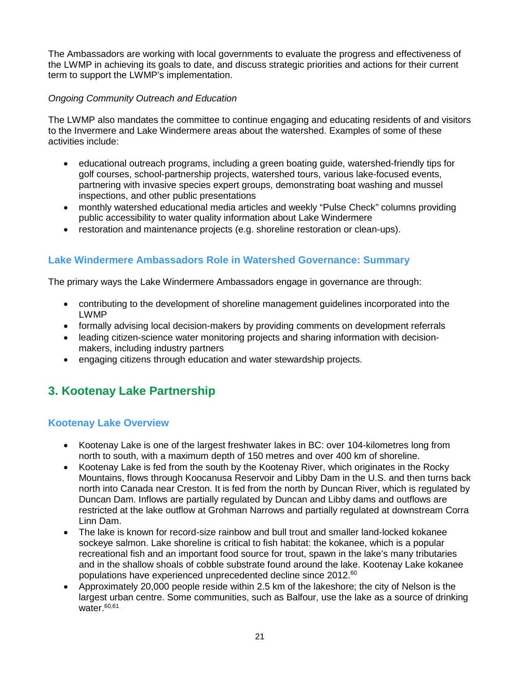The Ambassadors are working with local governments to evaluate the progress and effectiveness of the LWMP in achieving its goals to date, and discuss strategic priorities and actions for their current term to support the LWMP's implementation.

#### *Ongoing Community Outreach and Education*

The LWMP also mandates the committee to continue engaging and educating residents of and visitors to the Invermere and Lake Windermere areas about the watershed. Examples of some of these activities include:

- educational outreach programs, including a green boating guide, watershed-friendly tips for golf courses, school-partnership projects, watershed tours, various lake-focused events, partnering with invasive species expert groups, demonstrating boat washing and mussel inspections, and other public presentations
- monthly watershed educational media articles and weekly "Pulse Check" columns providing public accessibility to water quality information about Lake Windermere
- restoration and maintenance projects (e.g. shoreline restoration or clean-ups).

### <span id="page-20-0"></span>**Lake Windermere Ambassadors Role in Watershed Governance: Summary**

The primary ways the Lake Windermere Ambassadors engage in governance are through:

- contributing to the development of shoreline management guidelines incorporated into the LWMP
- formally advising local decision-makers by providing comments on development referrals
- leading citizen-science water monitoring projects and sharing information with decisionmakers, including industry partners
- engaging citizens through education and water stewardship projects.

# <span id="page-20-1"></span>**3. Kootenay Lake Partnership**

#### <span id="page-20-2"></span>**Kootenay Lake Overview**

- Kootenay Lake is one of the largest freshwater lakes in BC: over 104-kilometres long from north to south, with a maximum depth of 150 metres and over 400 km of shoreline.
- Kootenay Lake is fed from the south by the Kootenay River, which originates in the Rocky Mountains, flows through Koocanusa Reservoir and Libby Dam in the U.S. and then turns back north into Canada near Creston. It is fed from the north by Duncan River, which is regulated by Duncan Dam. Inflows are partially regulated by Duncan and Libby dams and outflows are restricted at the lake outflow at Grohman Narrows and partially regulated at downstream Corra Linn Dam.
- The lake is known for record-size rainbow and bull trout and smaller land-locked kokanee sockeye salmon. Lake shoreline is critical to fish habitat: the kokanee, which is a popular recreational fish and an important food source for trout, spawn in the lake's many tributaries and in the shallow shoals of cobble substrate found around the lake. Kootenay Lake kokanee populations have experienced unprecedented decline since 2012. 60
- Approximately 20,000 people reside within 2.5 km of the lakeshore; the city of Nelson is the largest urban centre. Some communities, such as Balfour, use the lake as a source of drinking water. 60,61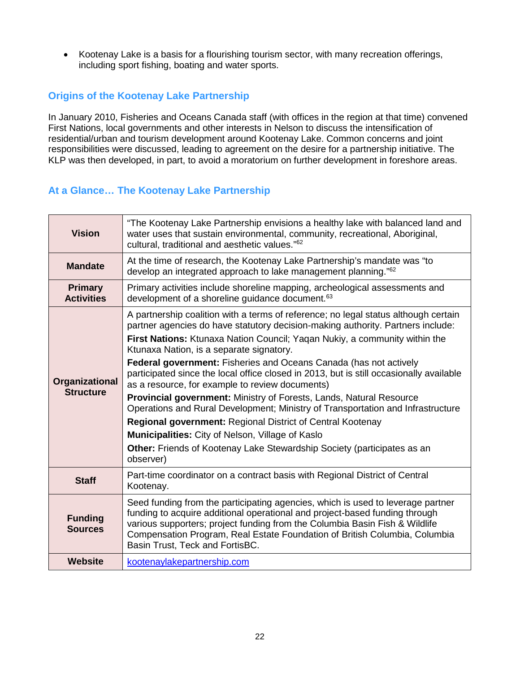• Kootenay Lake is a basis for a flourishing tourism sector, with many recreation offerings, including sport fishing, boating and water sports.

### <span id="page-21-0"></span>**Origins of the Kootenay Lake Partnership**

In January 2010, Fisheries and Oceans Canada staff (with offices in the region at that time) convened First Nations, local governments and other interests in Nelson to discuss the intensification of residential/urban and tourism development around Kootenay Lake. Common concerns and joint responsibilities were discussed, leading to agreement on the desire for a partnership initiative. The KLP was then developed, in part, to avoid a moratorium on further development in foreshore areas.

### <span id="page-21-1"></span>**At a Glance… The Kootenay Lake Partnership**

| <b>Vision</b>                       | "The Kootenay Lake Partnership envisions a healthy lake with balanced land and<br>water uses that sustain environmental, community, recreational, Aboriginal,<br>cultural, traditional and aesthetic values." <sup>62</sup>                                                                                                                                                                                                                                                                                                                                                                                                                                                                                                                                                                                                                                                                           |  |
|-------------------------------------|-------------------------------------------------------------------------------------------------------------------------------------------------------------------------------------------------------------------------------------------------------------------------------------------------------------------------------------------------------------------------------------------------------------------------------------------------------------------------------------------------------------------------------------------------------------------------------------------------------------------------------------------------------------------------------------------------------------------------------------------------------------------------------------------------------------------------------------------------------------------------------------------------------|--|
| <b>Mandate</b>                      | At the time of research, the Kootenay Lake Partnership's mandate was "to<br>develop an integrated approach to lake management planning." <sup>62</sup>                                                                                                                                                                                                                                                                                                                                                                                                                                                                                                                                                                                                                                                                                                                                                |  |
| <b>Primary</b><br><b>Activities</b> | Primary activities include shoreline mapping, archeological assessments and<br>development of a shoreline guidance document. <sup>63</sup>                                                                                                                                                                                                                                                                                                                                                                                                                                                                                                                                                                                                                                                                                                                                                            |  |
| Organizational<br><b>Structure</b>  | A partnership coalition with a terms of reference; no legal status although certain<br>partner agencies do have statutory decision-making authority. Partners include:<br>First Nations: Ktunaxa Nation Council; Yaqan Nukiy, a community within the<br>Ktunaxa Nation, is a separate signatory.<br><b>Federal government:</b> Fisheries and Oceans Canada (has not actively<br>participated since the local office closed in 2013, but is still occasionally available<br>as a resource, for example to review documents)<br>Provincial government: Ministry of Forests, Lands, Natural Resource<br>Operations and Rural Development; Ministry of Transportation and Infrastructure<br>Regional government: Regional District of Central Kootenay<br>Municipalities: City of Nelson, Village of Kaslo<br><b>Other:</b> Friends of Kootenay Lake Stewardship Society (participates as an<br>observer) |  |
| <b>Staff</b>                        | Part-time coordinator on a contract basis with Regional District of Central<br>Kootenay.                                                                                                                                                                                                                                                                                                                                                                                                                                                                                                                                                                                                                                                                                                                                                                                                              |  |
| <b>Funding</b><br><b>Sources</b>    | Seed funding from the participating agencies, which is used to leverage partner<br>funding to acquire additional operational and project-based funding through<br>various supporters; project funding from the Columbia Basin Fish & Wildlife<br>Compensation Program, Real Estate Foundation of British Columbia, Columbia<br>Basin Trust, Teck and FortisBC.                                                                                                                                                                                                                                                                                                                                                                                                                                                                                                                                        |  |
| <b>Website</b>                      | kootenaylakepartnership.com                                                                                                                                                                                                                                                                                                                                                                                                                                                                                                                                                                                                                                                                                                                                                                                                                                                                           |  |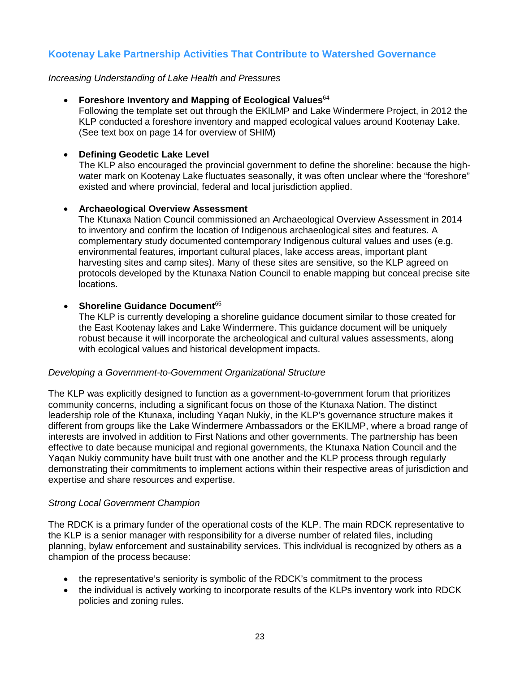#### <span id="page-22-0"></span>**Kootenay Lake Partnership Activities That Contribute to Watershed Governance**

*Increasing Understanding of Lake Health and Pressures*

#### • **Foreshore Inventory and Mapping of Ecological Values**<sup>64</sup>

Following the template set out through the EKILMP and Lake Windermere Project, in 2012 the KLP conducted a foreshore inventory and mapped ecological values around Kootenay Lake. (See text box on page 14 for overview of SHIM)

#### • **Defining Geodetic Lake Level**

The KLP also encouraged the provincial government to define the shoreline: because the highwater mark on Kootenay Lake fluctuates seasonally, it was often unclear where the "foreshore" existed and where provincial, federal and local jurisdiction applied.

#### • **Archaeological Overview Assessment**

The Ktunaxa Nation Council commissioned an Archaeological Overview Assessment in 2014 to inventory and confirm the location of Indigenous archaeological sites and features. A complementary study documented contemporary Indigenous cultural values and uses (e.g. environmental features, important cultural places, lake access areas, important plant harvesting sites and camp sites). Many of these sites are sensitive, so the KLP agreed on protocols developed by the Ktunaxa Nation Council to enable mapping but conceal precise site locations.

#### **Shoreline Guidance Document**<sup>65</sup>

The KLP is currently developing a shoreline guidance document similar to those created for the East Kootenay lakes and Lake Windermere. This guidance document will be uniquely robust because it will incorporate the archeological and cultural values assessments, along with ecological values and historical development impacts.

#### *Developing a Government-to-Government Organizational Structure*

The KLP was explicitly designed to function as a government-to-government forum that prioritizes community concerns, including a significant focus on those of the Ktunaxa Nation. The distinct leadership role of the Ktunaxa, including Yaqan Nukiy, in the KLP's governance structure makes it different from groups like the Lake Windermere Ambassadors or the EKILMP, where a broad range of interests are involved in addition to First Nations and other governments. The partnership has been effective to date because municipal and regional governments, the Ktunaxa Nation Council and the Yaqan Nukiy community have built trust with one another and the KLP process through regularly demonstrating their commitments to implement actions within their respective areas of jurisdiction and expertise and share resources and expertise.

#### *Strong Local Government Champion*

The RDCK is a primary funder of the operational costs of the KLP. The main RDCK representative to the KLP is a senior manager with responsibility for a diverse number of related files, including planning, bylaw enforcement and sustainability services. This individual is recognized by others as a champion of the process because:

- the representative's seniority is symbolic of the RDCK's commitment to the process
- the individual is actively working to incorporate results of the KLPs inventory work into RDCK policies and zoning rules.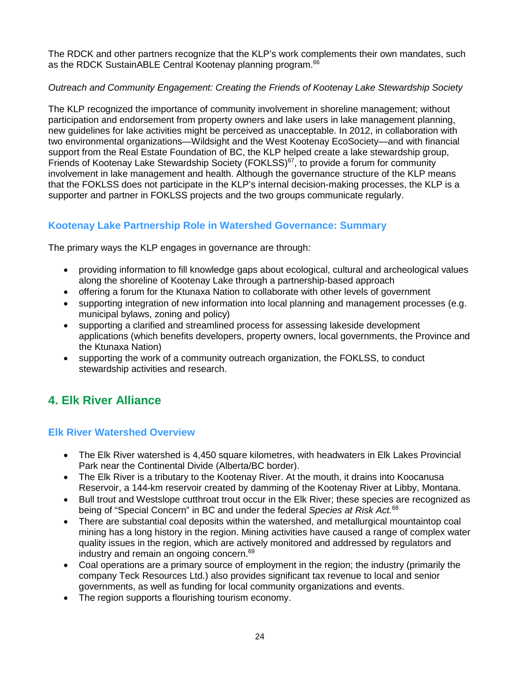The RDCK and other partners recognize that the KLP's work complements their own mandates, such as the RDCK SustainABLE Central Kootenay planning program.<sup>66</sup>

#### *Outreach and Community Engagement: Creating the Friends of Kootenay Lake Stewardship Society*

The KLP recognized the importance of community involvement in shoreline management; without participation and endorsement from property owners and lake users in lake management planning, new guidelines for lake activities might be perceived as unacceptable. In 2012, in collaboration with two environmental organizations—Wildsight and the West Kootenay EcoSociety—and with financial support from the Real Estate Foundation of BC, the KLP helped create a lake stewardship group, Friends of Kootenay Lake Stewardship Society (FOKLSS)<sup>67</sup>, to provide a forum for community involvement in lake management and health. Although the governance structure of the KLP means that the FOKLSS does not participate in the KLP's internal decision-making processes, the KLP is a supporter and partner in FOKLSS projects and the two groups communicate regularly.

### <span id="page-23-0"></span>**Kootenay Lake Partnership Role in Watershed Governance: Summary**

The primary ways the KLP engages in governance are through:

- providing information to fill knowledge gaps about ecological, cultural and archeological values along the shoreline of Kootenay Lake through a partnership-based approach
- offering a forum for the Ktunaxa Nation to collaborate with other levels of government
- supporting integration of new information into local planning and management processes (e.g. municipal bylaws, zoning and policy)
- supporting a clarified and streamlined process for assessing lakeside development applications (which benefits developers, property owners, local governments, the Province and the Ktunaxa Nation)
- supporting the work of a community outreach organization, the FOKLSS, to conduct stewardship activities and research.

# <span id="page-23-1"></span>**4. Elk River Alliance**

### <span id="page-23-2"></span>**Elk River Watershed Overview**

- The Elk River watershed is 4.450 square kilometres, with headwaters in Elk Lakes Provincial Park near the Continental Divide (Alberta/BC border).
- The Elk River is a tributary to the Kootenay River. At the mouth, it drains into Koocanusa Reservoir, a 144-km reservoir created by damming of the Kootenay River at Libby, Montana.
- Bull trout and Westslope cutthroat trout occur in the Elk River; these species are recognized as being of "Special Concern" in BC and under the federal *Species at Risk Act.* 68
- There are substantial coal deposits within the watershed, and metallurgical mountaintop coal mining has a long history in the region. Mining activities have caused a range of complex water quality issues in the region, which are actively monitored and addressed by regulators and industry and remain an ongoing concern. 69
- Coal operations are a primary source of employment in the region; the industry (primarily the company Teck Resources Ltd.) also provides significant tax revenue to local and senior governments, as well as funding for local community organizations and events.
- The region supports a flourishing tourism economy.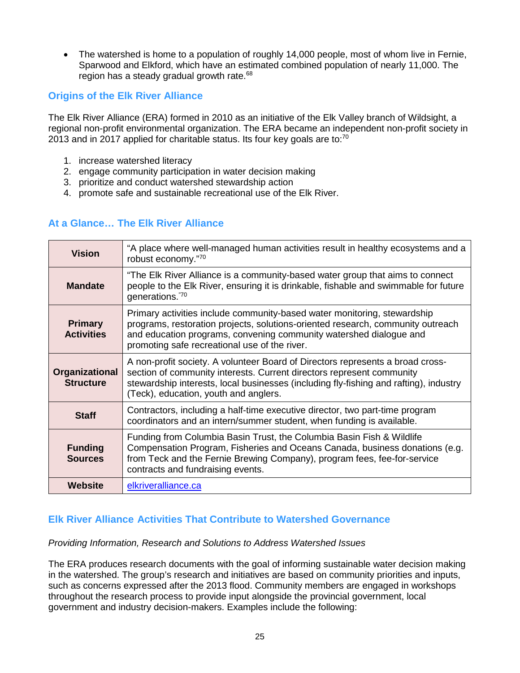• The watershed is home to a population of roughly 14,000 people, most of whom live in Fernie, Sparwood and Elkford, which have an estimated combined population of nearly 11,000. The region has a steady gradual growth rate.<sup>68</sup>

#### <span id="page-24-0"></span>**Origins of the Elk River Alliance**

The Elk River Alliance (ERA) formed in 2010 as an initiative of the Elk Valley branch of Wildsight, a regional non-profit environmental organization. The ERA became an independent non-profit society in 2013 and in 2017 applied for charitable status. Its four key goals are to: $70$ 

- 1. increase watershed literacy
- 2. engage community participation in water decision making
- 3. prioritize and conduct watershed stewardship action
- 4. promote safe and sustainable recreational use of the Elk River.

#### <span id="page-24-1"></span>**At a Glance… The Elk River Alliance**

| <b>Vision</b>                       | "A place where well-managed human activities result in healthy ecosystems and a<br>robust economy."70                                                                                                                                                                                     |
|-------------------------------------|-------------------------------------------------------------------------------------------------------------------------------------------------------------------------------------------------------------------------------------------------------------------------------------------|
| <b>Mandate</b>                      | "The Elk River Alliance is a community-based water group that aims to connect<br>people to the Elk River, ensuring it is drinkable, fishable and swimmable for future<br>generations."70                                                                                                  |
| <b>Primary</b><br><b>Activities</b> | Primary activities include community-based water monitoring, stewardship<br>programs, restoration projects, solutions-oriented research, community outreach<br>and education programs, convening community watershed dialogue and<br>promoting safe recreational use of the river.        |
| Organizational<br><b>Structure</b>  | A non-profit society. A volunteer Board of Directors represents a broad cross-<br>section of community interests. Current directors represent community<br>stewardship interests, local businesses (including fly-fishing and rafting), industry<br>(Teck), education, youth and anglers. |
| <b>Staff</b>                        | Contractors, including a half-time executive director, two part-time program<br>coordinators and an intern/summer student, when funding is available.                                                                                                                                     |
| <b>Funding</b><br><b>Sources</b>    | Funding from Columbia Basin Trust, the Columbia Basin Fish & Wildlife<br>Compensation Program, Fisheries and Oceans Canada, business donations (e.g.<br>from Teck and the Fernie Brewing Company), program fees, fee-for-service<br>contracts and fundraising events.                     |
| <b>Website</b>                      | elkriveralliance.ca                                                                                                                                                                                                                                                                       |

#### <span id="page-24-2"></span>**Elk River Alliance Activities That Contribute to Watershed Governance**

#### *Providing Information, Research and Solutions to Address Watershed Issues*

The ERA produces research documents with the goal of informing sustainable water decision making in the watershed. The group's research and initiatives are based on community priorities and inputs, such as concerns expressed after the 2013 flood. Community members are engaged in workshops throughout the research process to provide input alongside the provincial government, local government and industry decision-makers. Examples include the following: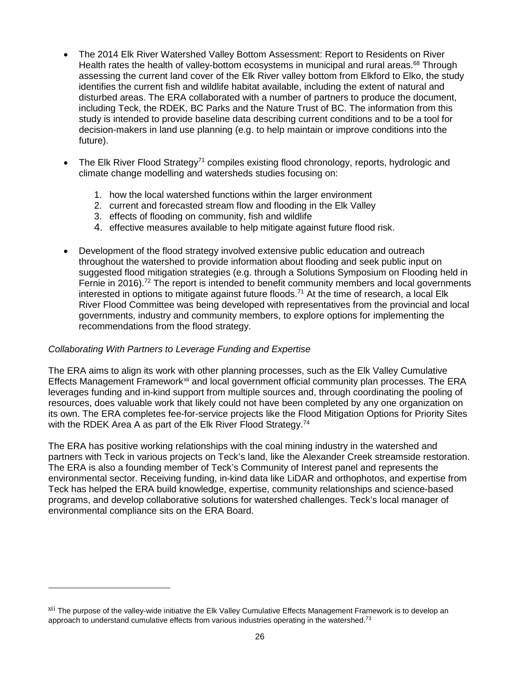- The 2014 Elk River Watershed Valley Bottom Assessment: Report to Residents on River Health rates the health of valley-bottom ecosystems in municipal and rural areas.<sup>68</sup> Through assessing the current land cover of the Elk River valley bottom from Elkford to Elko, the study identifies the current fish and wildlife habitat available, including the extent of natural and disturbed areas. The ERA collaborated with a number of partners to produce the document, including Teck, the RDEK, BC Parks and the Nature Trust of BC. The information from this study is intended to provide baseline data describing current conditions and to be a tool for decision-makers in land use planning (e.g. to help maintain or improve conditions into the future).
- The Elk River Flood Strategy<sup>71</sup> compiles existing flood chronology, reports, hydrologic and climate change modelling and watersheds studies focusing on:
	- 1. how the local watershed functions within the larger environment
	- 2. current and forecasted stream flow and flooding in the Elk Valley
	- 3. effects of flooding on community, fish and wildlife
	- 4. effective measures available to help mitigate against future flood risk.
- Development of the flood strategy involved extensive public education and outreach throughout the watershed to provide information about flooding and seek public input on suggested flood mitigation strategies (e.g. through a Solutions Symposium on Flooding held in Fernie in 2016).<sup>72</sup> The report is intended to benefit community members and local governments interested in options to mitigate against future floods.<sup>71</sup> At the time of research, a local Elk River Flood Committee was being developed with representatives from the provincial and local governments, industry and community members, to explore options for implementing the recommendations from the flood strategy.

#### *Collaborating With Partners to Leverage Funding and Expertise*

 $\overline{a}$ 

The ERA aims to align its work with other planning processes, such as the Elk Valley Cumulative Effects Management Framework<sup>[xii](#page-25-0)</sup> and local government official community plan processes. The ERA leverages funding and in-kind support from multiple sources and, through coordinating the pooling of resources, does valuable work that likely could not have been completed by any one organization on its own. The ERA completes fee-for-service projects like the Flood Mitigation Options for Priority Sites with the RDEK Area A as part of the Elk River Flood Strategy.<sup>74</sup>

The ERA has positive working relationships with the coal mining industry in the watershed and partners with Teck in various projects on Teck's land, like the Alexander Creek streamside restoration. The ERA is also a founding member of Teck's Community of Interest panel and represents the environmental sector. Receiving funding, in-kind data like LiDAR and orthophotos, and expertise from Teck has helped the ERA build knowledge, expertise, community relationships and science-based programs, and develop collaborative solutions for watershed challenges. Teck's local manager of environmental compliance sits on the ERA Board.

<span id="page-25-0"></span><sup>&</sup>lt;sup>xii</sup> The purpose of the valley-wide initiative the Elk Valley Cumulative Effects Management Framework is to develop an approach to understand cumulative effects from various industries operating in the watershed.<sup>73</sup>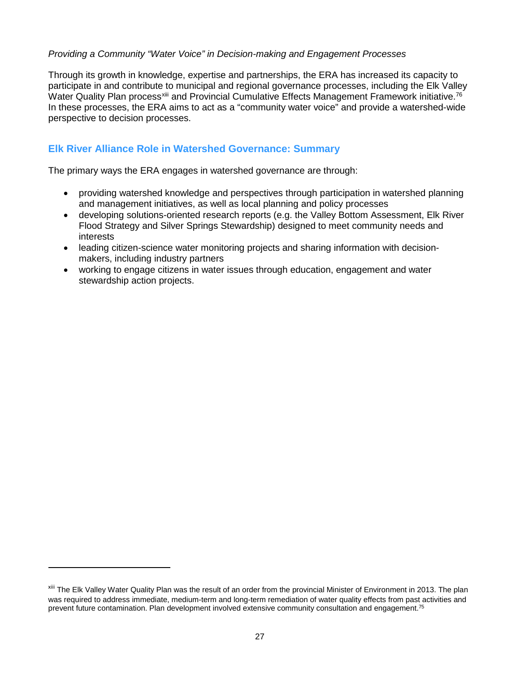#### *Providing a Community "Water Voice" in Decision-making and Engagement Processes*

Through its growth in knowledge, expertise and partnerships, the ERA has increased its capacity to participate in and contribute to municipal and regional governance processes, including the Elk Valley Water Quality Plan process<sup>[xiii](#page-26-1)</sup> and Provincial Cumulative Effects Management Framework initiative.<sup>76</sup> In these processes, the ERA aims to act as a "community water voice" and provide a watershed-wide perspective to decision processes.

#### <span id="page-26-0"></span>**Elk River Alliance Role in Watershed Governance: Summary**

The primary ways the ERA engages in watershed governance are through:

- providing watershed knowledge and perspectives through participation in watershed planning and management initiatives, as well as local planning and policy processes
- developing solutions-oriented research reports (e.g. the Valley Bottom Assessment, Elk River Flood Strategy and Silver Springs Stewardship) designed to meet community needs and interests
- leading citizen-science water monitoring projects and sharing information with decisionmakers, including industry partners
- working to engage citizens in water issues through education, engagement and water stewardship action projects.

 $\overline{a}$ 

<span id="page-26-1"></span>xiii The Elk Valley Water Quality Plan was the result of an order from the provincial Minister of Environment in 2013. The plan was required to address immediate, medium-term and long-term remediation of water quality effects from past activities and prevent future contamination. Plan development involved extensive community consultation and engagement.<sup>75</sup>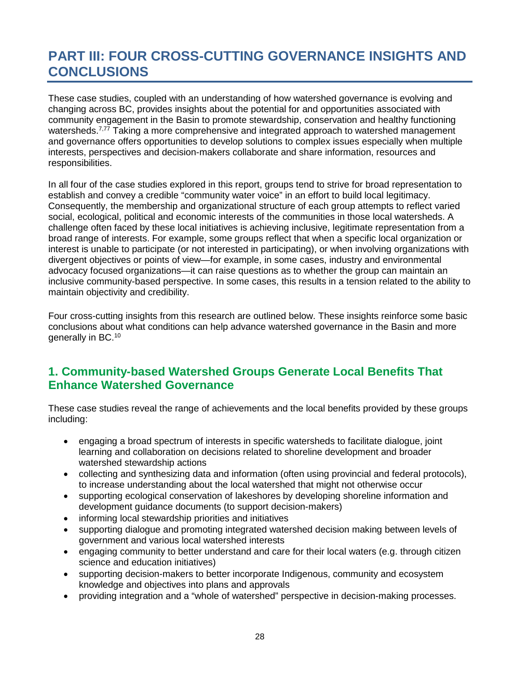# <span id="page-27-0"></span>**PART III: FOUR CROSS-CUTTING GOVERNANCE INSIGHTS AND CONCLUSIONS**

These case studies, coupled with an understanding of how watershed governance is evolving and changing across BC, provides insights about the potential for and opportunities associated with community engagement in the Basin to promote stewardship, conservation and healthy functioning watersheds.<sup>7,77</sup> Taking a more comprehensive and integrated approach to watershed management and governance offers opportunities to develop solutions to complex issues especially when multiple interests, perspectives and decision-makers collaborate and share information, resources and responsibilities.

In all four of the case studies explored in this report, groups tend to strive for broad representation to establish and convey a credible "community water voice" in an effort to build local legitimacy. Consequently, the membership and organizational structure of each group attempts to reflect varied social, ecological, political and economic interests of the communities in those local watersheds. A challenge often faced by these local initiatives is achieving inclusive, legitimate representation from a broad range of interests. For example, some groups reflect that when a specific local organization or interest is unable to participate (or not interested in participating), or when involving organizations with divergent objectives or points of view—for example, in some cases, industry and environmental advocacy focused organizations—it can raise questions as to whether the group can maintain an inclusive community-based perspective. In some cases, this results in a tension related to the ability to maintain objectivity and credibility.

Four cross-cutting insights from this research are outlined below. These insights reinforce some basic conclusions about what conditions can help advance watershed governance in the Basin and more generally in BC.<sup>10</sup>

# <span id="page-27-1"></span>**1. Community-based Watershed Groups Generate Local Benefits That Enhance Watershed Governance**

These case studies reveal the range of achievements and the local benefits provided by these groups including:

- engaging a broad spectrum of interests in specific watersheds to facilitate dialogue, joint learning and collaboration on decisions related to shoreline development and broader watershed stewardship actions
- collecting and synthesizing data and information (often using provincial and federal protocols), to increase understanding about the local watershed that might not otherwise occur
- supporting ecological conservation of lakeshores by developing shoreline information and development guidance documents (to support decision-makers)
- informing local stewardship priorities and initiatives
- supporting dialogue and promoting integrated watershed decision making between levels of government and various local watershed interests
- engaging community to better understand and care for their local waters (e.g. through citizen science and education initiatives)
- supporting decision-makers to better incorporate Indigenous, community and ecosystem knowledge and objectives into plans and approvals
- providing integration and a "whole of watershed" perspective in decision-making processes.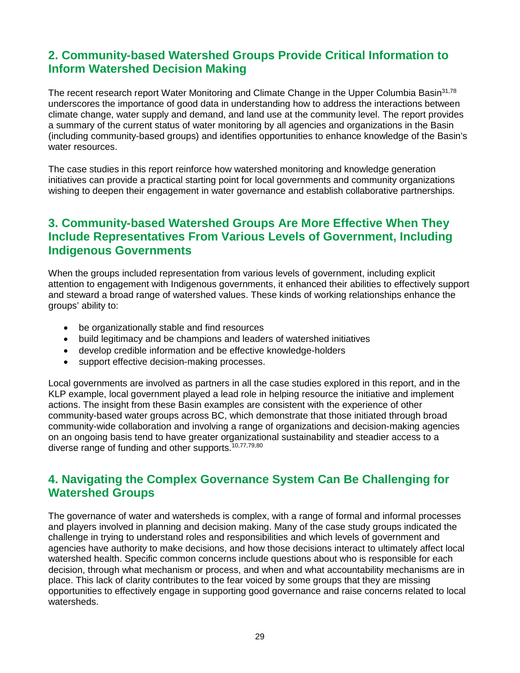# <span id="page-28-0"></span>**2. Community-based Watershed Groups Provide Critical Information to Inform Watershed Decision Making**

The recent research report Water Monitoring and Climate Change in the Upper Columbia Basin<sup>31,78</sup> underscores the importance of good data in understanding how to address the interactions between climate change, water supply and demand, and land use at the community level. The report provides a summary of the current status of water monitoring by all agencies and organizations in the Basin (including community-based groups) and identifies opportunities to enhance knowledge of the Basin's water resources.

The case studies in this report reinforce how watershed monitoring and knowledge generation initiatives can provide a practical starting point for local governments and community organizations wishing to deepen their engagement in water governance and establish collaborative partnerships.

# <span id="page-28-1"></span>**3. Community-based Watershed Groups Are More Effective When They Include Representatives From Various Levels of Government, Including Indigenous Governments**

When the groups included representation from various levels of government, including explicit attention to engagement with Indigenous governments, it enhanced their abilities to effectively support and steward a broad range of watershed values. These kinds of working relationships enhance the groups' ability to:

- be organizationally stable and find resources
- build legitimacy and be champions and leaders of watershed initiatives
- develop credible information and be effective knowledge-holders
- support effective decision-making processes.

Local governments are involved as partners in all the case studies explored in this report, and in the KLP example, local government played a lead role in helping resource the initiative and implement actions. The insight from these Basin examples are consistent with the experience of other community-based water groups across BC, which demonstrate that those initiated through broad community-wide collaboration and involving a range of organizations and decision-making agencies on an ongoing basis tend to have greater organizational sustainability and steadier access to a diverse range of funding and other supports.<sup>10,77,79,80</sup>

### <span id="page-28-2"></span>**4. Navigating the Complex Governance System Can Be Challenging for Watershed Groups**

The governance of water and watersheds is complex, with a range of formal and informal processes and players involved in planning and decision making. Many of the case study groups indicated the challenge in trying to understand roles and responsibilities and which levels of government and agencies have authority to make decisions, and how those decisions interact to ultimately affect local watershed health. Specific common concerns include questions about who is responsible for each decision, through what mechanism or process, and when and what accountability mechanisms are in place. This lack of clarity contributes to the fear voiced by some groups that they are missing opportunities to effectively engage in supporting good governance and raise concerns related to local watersheds.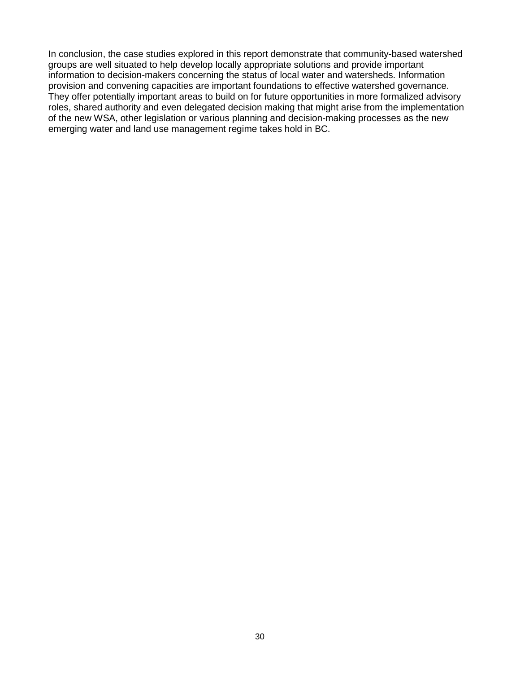In conclusion, the case studies explored in this report demonstrate that community-based watershed groups are well situated to help develop locally appropriate solutions and provide important information to decision-makers concerning the status of local water and watersheds. Information provision and convening capacities are important foundations to effective watershed governance. They offer potentially important areas to build on for future opportunities in more formalized advisory roles, shared authority and even delegated decision making that might arise from the implementation of the new WSA, other legislation or various planning and decision-making processes as the new emerging water and land use management regime takes hold in BC.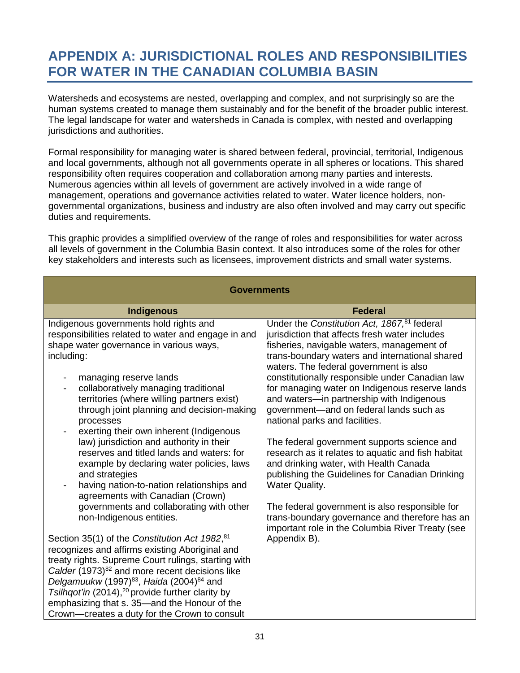# <span id="page-30-0"></span>**APPENDIX A: JURISDICTIONAL ROLES AND RESPONSIBILITIES FOR WATER IN THE CANADIAN COLUMBIA BASIN**

Watersheds and ecosystems are nested, overlapping and complex, and not surprisingly so are the human systems created to manage them sustainably and for the benefit of the broader public interest. The legal landscape for water and watersheds in Canada is complex, with nested and overlapping jurisdictions and authorities.

Formal responsibility for managing water is shared between federal, provincial, territorial, Indigenous and local governments, although not all governments operate in all spheres or locations. This shared responsibility often requires cooperation and collaboration among many parties and interests. Numerous agencies within all levels of government are actively involved in a wide range of management, operations and governance activities related to water. Water licence holders, nongovernmental organizations, business and industry are also often involved and may carry out specific duties and requirements.

This graphic provides a simplified overview of the range of roles and responsibilities for water across all levels of government in the Columbia Basin context. It also introduces some of the roles for other key stakeholders and interests such as licensees, improvement districts and small water systems.

| <b>Governments</b>                                                                                                                                                                                                                                                                                                                                                                                                                                         |                                                                                                                                                                                                                                                     |  |
|------------------------------------------------------------------------------------------------------------------------------------------------------------------------------------------------------------------------------------------------------------------------------------------------------------------------------------------------------------------------------------------------------------------------------------------------------------|-----------------------------------------------------------------------------------------------------------------------------------------------------------------------------------------------------------------------------------------------------|--|
| <b>Indigenous</b>                                                                                                                                                                                                                                                                                                                                                                                                                                          | <b>Federal</b>                                                                                                                                                                                                                                      |  |
| Indigenous governments hold rights and<br>responsibilities related to water and engage in and<br>shape water governance in various ways,<br>including:                                                                                                                                                                                                                                                                                                     | Under the Constitution Act, 1867, <sup>81</sup> federal<br>jurisdiction that affects fresh water includes<br>fisheries, navigable waters, management of<br>trans-boundary waters and international shared<br>waters. The federal government is also |  |
| managing reserve lands<br>collaboratively managing traditional<br>$\overline{\phantom{0}}$<br>territories (where willing partners exist)<br>through joint planning and decision-making<br>processes<br>exerting their own inherent (Indigenous<br>-                                                                                                                                                                                                        | constitutionally responsible under Canadian law<br>for managing water on Indigenous reserve lands<br>and waters-in partnership with Indigenous<br>government—and on federal lands such as<br>national parks and facilities.                         |  |
| law) jurisdiction and authority in their<br>reserves and titled lands and waters: for<br>example by declaring water policies, laws<br>and strategies<br>having nation-to-nation relationships and<br>agreements with Canadian (Crown)                                                                                                                                                                                                                      | The federal government supports science and<br>research as it relates to aquatic and fish habitat<br>and drinking water, with Health Canada<br>publishing the Guidelines for Canadian Drinking<br><b>Water Quality.</b>                             |  |
| governments and collaborating with other<br>non-Indigenous entities.                                                                                                                                                                                                                                                                                                                                                                                       | The federal government is also responsible for<br>trans-boundary governance and therefore has an<br>important role in the Columbia River Treaty (see                                                                                                |  |
| Section 35(1) of the Constitution Act 1982, 81<br>recognizes and affirms existing Aboriginal and<br>treaty rights. Supreme Court rulings, starting with<br>Calder (1973) <sup>82</sup> and more recent decisions like<br>Delgamuukw (1997) <sup>83</sup> , Haida (2004) <sup>84</sup> and<br>Tsilhqot'in (2014), <sup>20</sup> provide further clarity by<br>emphasizing that s. 35-and the Honour of the<br>Crown—creates a duty for the Crown to consult | Appendix B).                                                                                                                                                                                                                                        |  |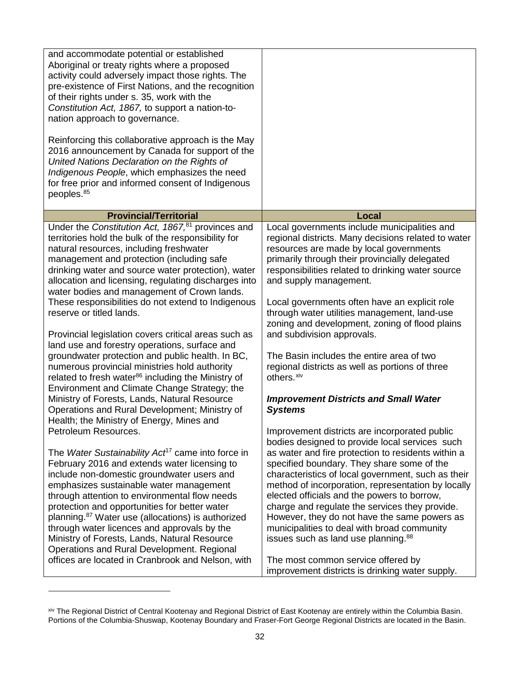| and accommodate potential or established<br>Aboriginal or treaty rights where a proposed<br>activity could adversely impact those rights. The<br>pre-existence of First Nations, and the recognition<br>of their rights under s. 35, work with the<br>Constitution Act, 1867, to support a nation-to-<br>nation approach to governance.<br>Reinforcing this collaborative approach is the May<br>2016 announcement by Canada for support of the<br>United Nations Declaration on the Rights of<br>Indigenous People, which emphasizes the need<br>for free prior and informed consent of Indigenous<br>peoples. <sup>85</sup>                                                                                                                                                               |                                                                                                                                                                                                                                                                                                                                                                                                                                                                                                                                                                                                                                                             |
|---------------------------------------------------------------------------------------------------------------------------------------------------------------------------------------------------------------------------------------------------------------------------------------------------------------------------------------------------------------------------------------------------------------------------------------------------------------------------------------------------------------------------------------------------------------------------------------------------------------------------------------------------------------------------------------------------------------------------------------------------------------------------------------------|-------------------------------------------------------------------------------------------------------------------------------------------------------------------------------------------------------------------------------------------------------------------------------------------------------------------------------------------------------------------------------------------------------------------------------------------------------------------------------------------------------------------------------------------------------------------------------------------------------------------------------------------------------------|
| <b>Provincial/Territorial</b>                                                                                                                                                                                                                                                                                                                                                                                                                                                                                                                                                                                                                                                                                                                                                               | Local                                                                                                                                                                                                                                                                                                                                                                                                                                                                                                                                                                                                                                                       |
| Under the Constitution Act, 1867, <sup>81</sup> provinces and<br>territories hold the bulk of the responsibility for<br>natural resources, including freshwater<br>management and protection (including safe<br>drinking water and source water protection), water<br>allocation and licensing, regulating discharges into<br>water bodies and management of Crown lands.<br>These responsibilities do not extend to Indigenous<br>reserve or titled lands.<br>Provincial legislation covers critical areas such as<br>land use and forestry operations, surface and<br>groundwater protection and public health. In BC,<br>numerous provincial ministries hold authority<br>related to fresh water <sup>86</sup> including the Ministry of<br>Environment and Climate Change Strategy; the | Local governments include municipalities and<br>regional districts. Many decisions related to water<br>resources are made by local governments<br>primarily through their provincially delegated<br>responsibilities related to drinking water source<br>and supply management.<br>Local governments often have an explicit role<br>through water utilities management, land-use<br>zoning and development, zoning of flood plains<br>and subdivision approvals.<br>The Basin includes the entire area of two<br>regional districts as well as portions of three<br>others. <sup>xiv</sup>                                                                  |
| Ministry of Forests, Lands, Natural Resource                                                                                                                                                                                                                                                                                                                                                                                                                                                                                                                                                                                                                                                                                                                                                | <b>Improvement Districts and Small Water</b>                                                                                                                                                                                                                                                                                                                                                                                                                                                                                                                                                                                                                |
| Operations and Rural Development; Ministry of                                                                                                                                                                                                                                                                                                                                                                                                                                                                                                                                                                                                                                                                                                                                               | <b>Systems</b>                                                                                                                                                                                                                                                                                                                                                                                                                                                                                                                                                                                                                                              |
| Health; the Ministry of Energy, Mines and<br>Petroleum Resources.<br>The Water Sustainability Act <sup>17</sup> came into force in<br>February 2016 and extends water licensing to<br>include non-domestic groundwater users and<br>emphasizes sustainable water management<br>through attention to environmental flow needs<br>protection and opportunities for better water<br>planning. <sup>87</sup> Water use (allocations) is authorized<br>through water licences and approvals by the<br>Ministry of Forests, Lands, Natural Resource<br>Operations and Rural Development. Regional<br>offices are located in Cranbrook and Nelson, with                                                                                                                                            | Improvement districts are incorporated public<br>bodies designed to provide local services such<br>as water and fire protection to residents within a<br>specified boundary. They share some of the<br>characteristics of local government, such as their<br>method of incorporation, representation by locally<br>elected officials and the powers to borrow,<br>charge and regulate the services they provide.<br>However, they do not have the same powers as<br>municipalities to deal with broad community<br>issues such as land use planning. <sup>88</sup><br>The most common service offered by<br>improvement districts is drinking water supply. |

<span id="page-31-0"></span>xiv The Regional District of Central Kootenay and Regional District of East Kootenay are entirely within the Columbia Basin. Portions of the Columbia-Shuswap, Kootenay Boundary and Fraser-Fort George Regional Districts are located in the Basin.

 $\overline{a}$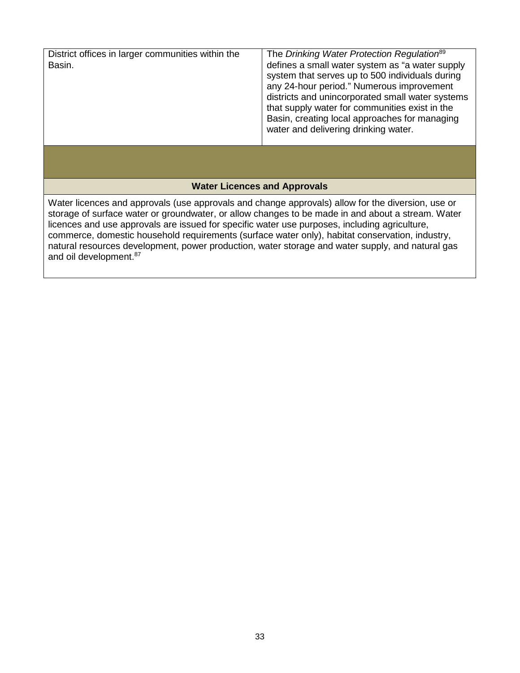| District offices in larger communities within the<br>Basin.                                                                                                                                                                                                                                             | The Drinking Water Protection Regulation <sup>89</sup><br>defines a small water system as "a water supply<br>system that serves up to 500 individuals during<br>any 24-hour period." Numerous improvement<br>districts and unincorporated small water systems<br>that supply water for communities exist in the<br>Basin, creating local approaches for managing<br>water and delivering drinking water. |  |
|---------------------------------------------------------------------------------------------------------------------------------------------------------------------------------------------------------------------------------------------------------------------------------------------------------|----------------------------------------------------------------------------------------------------------------------------------------------------------------------------------------------------------------------------------------------------------------------------------------------------------------------------------------------------------------------------------------------------------|--|
|                                                                                                                                                                                                                                                                                                         |                                                                                                                                                                                                                                                                                                                                                                                                          |  |
| <b>Water Licences and Approvals</b>                                                                                                                                                                                                                                                                     |                                                                                                                                                                                                                                                                                                                                                                                                          |  |
| Water licences and approvals (use approvals and change approvals) allow for the diversion, use or<br>storage of surface water or groundwater, or allow changes to be made in and about a stream. Water<br>licences and use approvals are issued for specific water use purposes, including agriculture, |                                                                                                                                                                                                                                                                                                                                                                                                          |  |

commerce, domestic household requirements (surface water only), habitat conservation, industry, natural resources development, power production, water storage and water supply, and natural gas and oil development. 87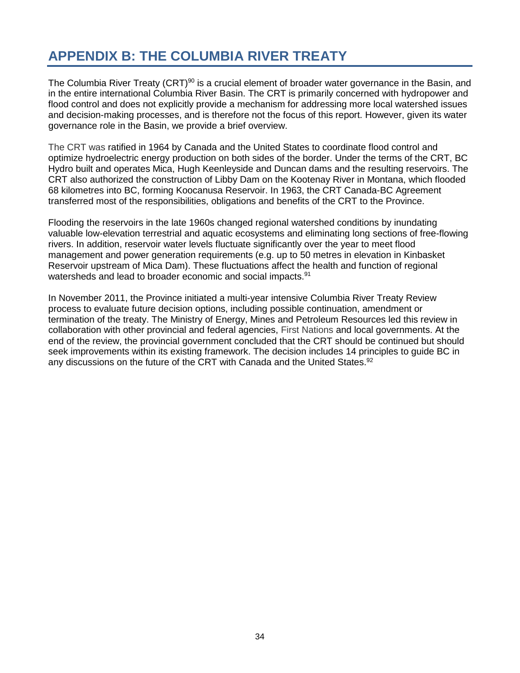# <span id="page-33-0"></span>**APPENDIX B: THE COLUMBIA RIVER TREATY**

The Columbia River Treaty (CRT)<sup>90</sup> is a crucial element of broader water governance in the Basin, and in the entire international Columbia River Basin. The CRT is primarily concerned with hydropower and flood control and does not explicitly provide a mechanism for addressing more local watershed issues and decision-making processes, and is therefore not the focus of this report. However, given its water governance role in the Basin, we provide a brief overview.

The CRT was ratified in 1964 by Canada and the United States to coordinate flood control and optimize hydroelectric energy production on both sides of the border. Under the terms of the CRT, BC Hydro built and operates Mica, Hugh Keenleyside and Duncan dams and the resulting reservoirs. The CRT also authorized the construction of Libby Dam on the Kootenay River in Montana, which flooded 68 kilometres into BC, forming Koocanusa Reservoir. In 1963, the CRT Canada-BC Agreement transferred most of the responsibilities, obligations and benefits of the CRT to the Province.

Flooding the reservoirs in the late 1960s changed regional watershed conditions by inundating valuable low-elevation terrestrial and aquatic ecosystems and eliminating long sections of free-flowing rivers. In addition, reservoir water levels fluctuate significantly over the year to meet flood management and power generation requirements (e.g. up to 50 metres in elevation in Kinbasket Reservoir upstream of Mica Dam). These fluctuations affect the health and function of regional watersheds and lead to broader economic and social impacts.<sup>91</sup>

In November 2011, the Province initiated a multi-year intensive Columbia River Treaty Review process to evaluate future decision options, including possible continuation, amendment or termination of the treaty. The Ministry of Energy, Mines and Petroleum Resources led this review in collaboration with other provincial and federal agencies, First Nations and local governments. At the end of the review, the provincial government concluded that the CRT should be continued but should seek improvements within its existing framework. The decision includes 14 principles to guide BC in any discussions on the future of the CRT with Canada and the United States.<sup>92</sup>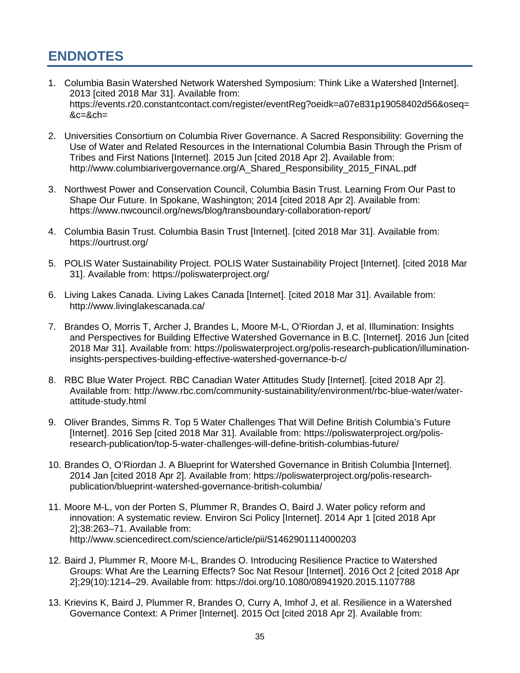# <span id="page-34-0"></span>**ENDNOTES**

- 1. Columbia Basin Watershed Network Watershed Symposium: Think Like a Watershed [Internet]. 2013 [cited 2018 Mar 31]. Available from: https://events.r20.constantcontact.com/register/eventReg?oeidk=a07e831p19058402d56&oseq= &c=&ch=
- 2. Universities Consortium on Columbia River Governance. A Sacred Responsibility: Governing the Use of Water and Related Resources in the International Columbia Basin Through the Prism of Tribes and First Nations [Internet]. 2015 Jun [cited 2018 Apr 2]. Available from: http://www.columbiarivergovernance.org/A\_Shared\_Responsibility\_2015\_FINAL.pdf
- 3. Northwest Power and Conservation Council, Columbia Basin Trust. Learning From Our Past to Shape Our Future. In Spokane, Washington; 2014 [cited 2018 Apr 2]. Available from: https://www.nwcouncil.org/news/blog/transboundary-collaboration-report/
- 4. Columbia Basin Trust. Columbia Basin Trust [Internet]. [cited 2018 Mar 31]. Available from: https://ourtrust.org/
- 5. POLIS Water Sustainability Project. POLIS Water Sustainability Project [Internet]. [cited 2018 Mar 31]. Available from: https://poliswaterproject.org/
- 6. Living Lakes Canada. Living Lakes Canada [Internet]. [cited 2018 Mar 31]. Available from: http://www.livinglakescanada.ca/
- 7. Brandes O, Morris T, Archer J, Brandes L, Moore M-L, O'Riordan J, et al. Illumination: Insights and Perspectives for Building Effective Watershed Governance in B.C. [Internet]. 2016 Jun [cited 2018 Mar 31]. Available from: https://poliswaterproject.org/polis-research-publication/illuminationinsights-perspectives-building-effective-watershed-governance-b-c/
- 8. RBC Blue Water Project. RBC Canadian Water Attitudes Study [Internet]. [cited 2018 Apr 2]. Available from: http://www.rbc.com/community-sustainability/environment/rbc-blue-water/waterattitude-study.html
- 9. Oliver Brandes, Simms R. Top 5 Water Challenges That Will Define British Columbia's Future [Internet]. 2016 Sep [cited 2018 Mar 31]. Available from: https://poliswaterproject.org/polisresearch-publication/top-5-water-challenges-will-define-british-columbias-future/
- 10. Brandes O, O'Riordan J. A Blueprint for Watershed Governance in British Columbia [Internet]. 2014 Jan [cited 2018 Apr 2]. Available from: https://poliswaterproject.org/polis-researchpublication/blueprint-watershed-governance-british-columbia/
- 11. Moore M-L, von der Porten S, Plummer R, Brandes O, Baird J. Water policy reform and innovation: A systematic review. Environ Sci Policy [Internet]. 2014 Apr 1 [cited 2018 Apr 2];38:263–71. Available from: http://www.sciencedirect.com/science/article/pii/S1462901114000203
- 12. Baird J, Plummer R, Moore M-L, Brandes O. Introducing Resilience Practice to Watershed Groups: What Are the Learning Effects? Soc Nat Resour [Internet]. 2016 Oct 2 [cited 2018 Apr 2];29(10):1214–29. Available from: https://doi.org/10.1080/08941920.2015.1107788
- 13. Krievins K, Baird J, Plummer R, Brandes O, Curry A, Imhof J, et al. Resilience in a Watershed Governance Context: A Primer [Internet]. 2015 Oct [cited 2018 Apr 2]. Available from: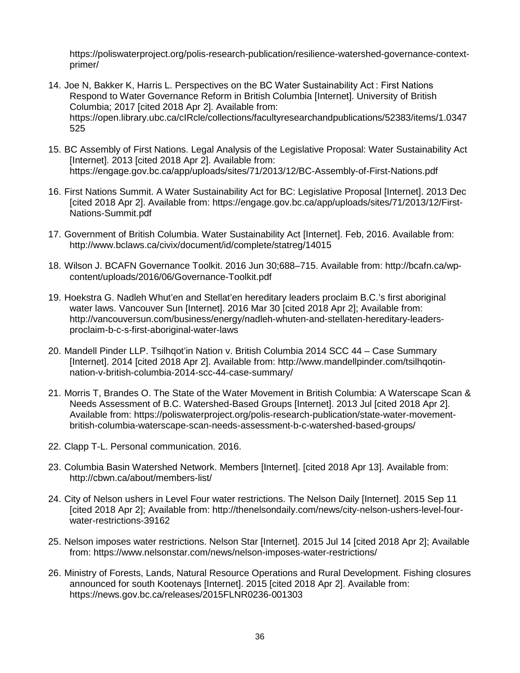https://poliswaterproject.org/polis-research-publication/resilience-watershed-governance-contextprimer/

- 14. Joe N, Bakker K, Harris L. Perspectives on the BC Water Sustainability Act : First Nations Respond to Water Governance Reform in British Columbia [Internet]. University of British Columbia; 2017 [cited 2018 Apr 2]. Available from: https://open.library.ubc.ca/cIRcle/collections/facultyresearchandpublications/52383/items/1.0347 525
- 15. BC Assembly of First Nations. Legal Analysis of the Legislative Proposal: Water Sustainability Act [Internet]. 2013 [cited 2018 Apr 2]. Available from: https://engage.gov.bc.ca/app/uploads/sites/71/2013/12/BC-Assembly-of-First-Nations.pdf
- 16. First Nations Summit. A Water Sustainability Act for BC: Legislative Proposal [Internet]. 2013 Dec [cited 2018 Apr 2]. Available from: https://engage.gov.bc.ca/app/uploads/sites/71/2013/12/First-Nations-Summit.pdf
- 17. Government of British Columbia. Water Sustainability Act [Internet]. Feb, 2016. Available from: http://www.bclaws.ca/civix/document/id/complete/statreg/14015
- 18. Wilson J. BCAFN Governance Toolkit. 2016 Jun 30;688–715. Available from: http://bcafn.ca/wpcontent/uploads/2016/06/Governance-Toolkit.pdf
- 19. Hoekstra G. Nadleh Whut'en and Stellat'en hereditary leaders proclaim B.C.'s first aboriginal water laws. Vancouver Sun [Internet]. 2016 Mar 30 [cited 2018 Apr 2]; Available from: http://vancouversun.com/business/energy/nadleh-whuten-and-stellaten-hereditary-leadersproclaim-b-c-s-first-aboriginal-water-laws
- 20. Mandell Pinder LLP. Tsilhqot'in Nation v. British Columbia 2014 SCC 44 Case Summary [Internet]. 2014 [cited 2018 Apr 2]. Available from: http://www.mandellpinder.com/tsilhqotinnation-v-british-columbia-2014-scc-44-case-summary/
- 21. Morris T, Brandes O. The State of the Water Movement in British Columbia: A Waterscape Scan & Needs Assessment of B.C. Watershed-Based Groups [Internet]. 2013 Jul [cited 2018 Apr 2]. Available from: https://poliswaterproject.org/polis-research-publication/state-water-movementbritish-columbia-waterscape-scan-needs-assessment-b-c-watershed-based-groups/
- 22. Clapp T-L. Personal communication. 2016.
- 23. Columbia Basin Watershed Network. Members [Internet]. [cited 2018 Apr 13]. Available from: http://cbwn.ca/about/members-list/
- 24. City of Nelson ushers in Level Four water restrictions. The Nelson Daily [Internet]. 2015 Sep 11 [cited 2018 Apr 2]; Available from: http://thenelsondaily.com/news/city-nelson-ushers-level-fourwater-restrictions-39162
- 25. Nelson imposes water restrictions. Nelson Star [Internet]. 2015 Jul 14 [cited 2018 Apr 2]; Available from: https://www.nelsonstar.com/news/nelson-imposes-water-restrictions/
- 26. Ministry of Forests, Lands, Natural Resource Operations and Rural Development. Fishing closures announced for south Kootenays [Internet]. 2015 [cited 2018 Apr 2]. Available from: https://news.gov.bc.ca/releases/2015FLNR0236-001303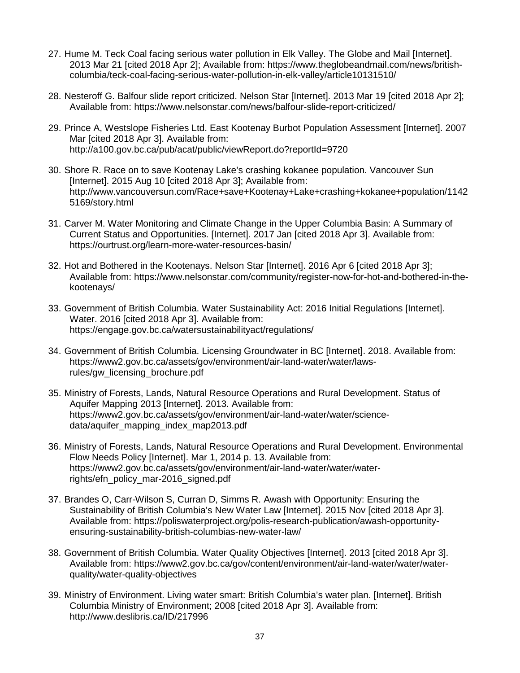- 27. Hume M. Teck Coal facing serious water pollution in Elk Valley. The Globe and Mail [Internet]. 2013 Mar 21 [cited 2018 Apr 2]; Available from: https://www.theglobeandmail.com/news/britishcolumbia/teck-coal-facing-serious-water-pollution-in-elk-valley/article10131510/
- 28. Nesteroff G. Balfour slide report criticized. Nelson Star [Internet]. 2013 Mar 19 [cited 2018 Apr 2]; Available from: https://www.nelsonstar.com/news/balfour-slide-report-criticized/
- 29. Prince A, Westslope Fisheries Ltd. East Kootenay Burbot Population Assessment [Internet]. 2007 Mar [cited 2018 Apr 3]. Available from: http://a100.gov.bc.ca/pub/acat/public/viewReport.do?reportId=9720
- 30. Shore R. Race on to save Kootenay Lake's crashing kokanee population. Vancouver Sun [Internet]. 2015 Aug 10 [cited 2018 Apr 3]; Available from: http://www.vancouversun.com/Race+save+Kootenay+Lake+crashing+kokanee+population/1142 5169/story.html
- 31. Carver M. Water Monitoring and Climate Change in the Upper Columbia Basin: A Summary of Current Status and Opportunities. [Internet]. 2017 Jan [cited 2018 Apr 3]. Available from: https://ourtrust.org/learn-more-water-resources-basin/
- 32. Hot and Bothered in the Kootenays. Nelson Star [Internet]. 2016 Apr 6 [cited 2018 Apr 3]; Available from: https://www.nelsonstar.com/community/register-now-for-hot-and-bothered-in-thekootenays/
- 33. Government of British Columbia. Water Sustainability Act: 2016 Initial Regulations [Internet]. Water. 2016 [cited 2018 Apr 3]. Available from: https://engage.gov.bc.ca/watersustainabilityact/regulations/
- 34. Government of British Columbia. Licensing Groundwater in BC [Internet]. 2018. Available from: https://www2.gov.bc.ca/assets/gov/environment/air-land-water/water/lawsrules/gw\_licensing\_brochure.pdf
- 35. Ministry of Forests, Lands, Natural Resource Operations and Rural Development. Status of Aquifer Mapping 2013 [Internet]. 2013. Available from: https://www2.gov.bc.ca/assets/gov/environment/air-land-water/water/sciencedata/aquifer\_mapping\_index\_map2013.pdf
- 36. Ministry of Forests, Lands, Natural Resource Operations and Rural Development. Environmental Flow Needs Policy [Internet]. Mar 1, 2014 p. 13. Available from: https://www2.gov.bc.ca/assets/gov/environment/air-land-water/water/waterrights/efn\_policy\_mar-2016\_signed.pdf
- 37. Brandes O, Carr-Wilson S, Curran D, Simms R. Awash with Opportunity: Ensuring the Sustainability of British Columbia's New Water Law [Internet]. 2015 Nov [cited 2018 Apr 3]. Available from: https://poliswaterproject.org/polis-research-publication/awash-opportunityensuring-sustainability-british-columbias-new-water-law/
- 38. Government of British Columbia. Water Quality Objectives [Internet]. 2013 [cited 2018 Apr 3]. Available from: https://www2.gov.bc.ca/gov/content/environment/air-land-water/water/waterquality/water-quality-objectives
- 39. Ministry of Environment. Living water smart: British Columbia's water plan. [Internet]. British Columbia Ministry of Environment; 2008 [cited 2018 Apr 3]. Available from: http://www.deslibris.ca/ID/217996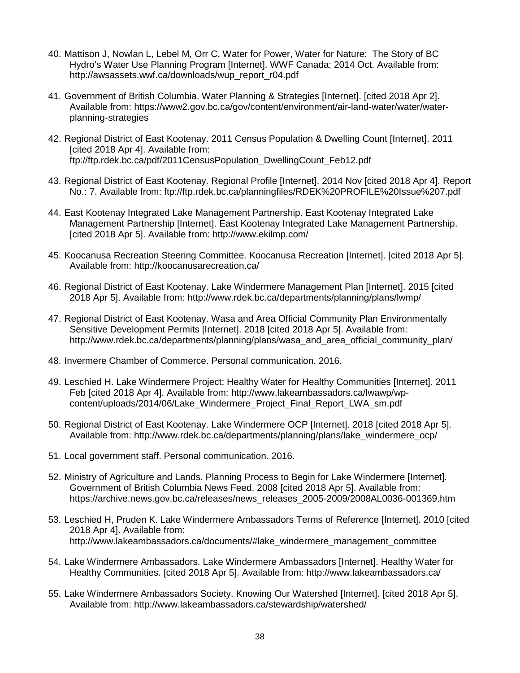- 40. Mattison J, Nowlan L, Lebel M, Orr C. Water for Power, Water for Nature: The Story of BC Hydro's Water Use Planning Program [Internet]. WWF Canada; 2014 Oct. Available from: http://awsassets.wwf.ca/downloads/wup\_report\_r04.pdf
- 41. Government of British Columbia. Water Planning & Strategies [Internet]. [cited 2018 Apr 2]. Available from: https://www2.gov.bc.ca/gov/content/environment/air-land-water/water/waterplanning-strategies
- 42. Regional District of East Kootenay. 2011 Census Population & Dwelling Count [Internet]. 2011 [cited 2018 Apr 4]. Available from: ftp://ftp.rdek.bc.ca/pdf/2011CensusPopulation\_DwellingCount\_Feb12.pdf
- 43. Regional District of East Kootenay. Regional Profile [Internet]. 2014 Nov [cited 2018 Apr 4]. Report No.: 7. Available from: ftp://ftp.rdek.bc.ca/planningfiles/RDEK%20PROFILE%20Issue%207.pdf
- 44. East Kootenay Integrated Lake Management Partnership. East Kootenay Integrated Lake Management Partnership [Internet]. East Kootenay Integrated Lake Management Partnership. [cited 2018 Apr 5]. Available from: http://www.ekilmp.com/
- 45. Koocanusa Recreation Steering Committee. Koocanusa Recreation [Internet]. [cited 2018 Apr 5]. Available from: http://koocanusarecreation.ca/
- 46. Regional District of East Kootenay. Lake Windermere Management Plan [Internet]. 2015 [cited 2018 Apr 5]. Available from: http://www.rdek.bc.ca/departments/planning/plans/lwmp/
- 47. Regional District of East Kootenay. Wasa and Area Official Community Plan Environmentally Sensitive Development Permits [Internet]. 2018 [cited 2018 Apr 5]. Available from: http://www.rdek.bc.ca/departments/planning/plans/wasa\_and\_area\_official\_community\_plan/
- 48. Invermere Chamber of Commerce. Personal communication. 2016.
- 49. Leschied H. Lake Windermere Project: Healthy Water for Healthy Communities [Internet]. 2011 Feb [cited 2018 Apr 4]. Available from: http://www.lakeambassadors.ca/lwawp/wpcontent/uploads/2014/06/Lake\_Windermere\_Project\_Final\_Report\_LWA\_sm.pdf
- 50. Regional District of East Kootenay. Lake Windermere OCP [Internet]. 2018 [cited 2018 Apr 5]. Available from: http://www.rdek.bc.ca/departments/planning/plans/lake\_windermere\_ocp/
- 51. Local government staff. Personal communication. 2016.
- 52. Ministry of Agriculture and Lands. Planning Process to Begin for Lake Windermere [Internet]. Government of British Columbia News Feed. 2008 [cited 2018 Apr 5]. Available from: https://archive.news.gov.bc.ca/releases/news\_releases\_2005-2009/2008AL0036-001369.htm
- 53. Leschied H, Pruden K. Lake Windermere Ambassadors Terms of Reference [Internet]. 2010 [cited 2018 Apr 4]. Available from: http://www.lakeambassadors.ca/documents/#lake\_windermere\_management\_committee
- 54. Lake Windermere Ambassadors. Lake Windermere Ambassadors [Internet]. Healthy Water for Healthy Communities. [cited 2018 Apr 5]. Available from: http://www.lakeambassadors.ca/
- 55. Lake Windermere Ambassadors Society. Knowing Our Watershed [Internet]. [cited 2018 Apr 5]. Available from: http://www.lakeambassadors.ca/stewardship/watershed/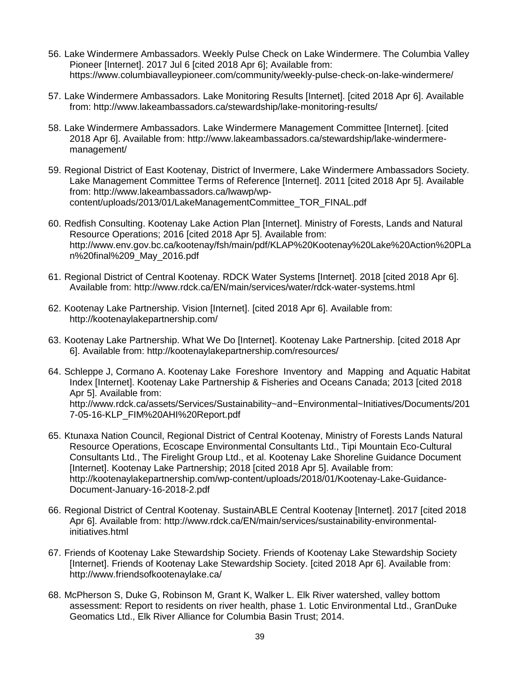- 56. Lake Windermere Ambassadors. Weekly Pulse Check on Lake Windermere. The Columbia Valley Pioneer [Internet]. 2017 Jul 6 [cited 2018 Apr 6]; Available from: https://www.columbiavalleypioneer.com/community/weekly-pulse-check-on-lake-windermere/
- 57. Lake Windermere Ambassadors. Lake Monitoring Results [Internet]. [cited 2018 Apr 6]. Available from: http://www.lakeambassadors.ca/stewardship/lake-monitoring-results/
- 58. Lake Windermere Ambassadors. Lake Windermere Management Committee [Internet]. [cited 2018 Apr 6]. Available from: http://www.lakeambassadors.ca/stewardship/lake-windermeremanagement/
- 59. Regional District of East Kootenay, District of Invermere, Lake Windermere Ambassadors Society. Lake Management Committee Terms of Reference [Internet]. 2011 [cited 2018 Apr 5]. Available from: http://www.lakeambassadors.ca/lwawp/wpcontent/uploads/2013/01/LakeManagementCommittee\_TOR\_FINAL.pdf
- 60. Redfish Consulting. Kootenay Lake Action Plan [Internet]. Ministry of Forests, Lands and Natural Resource Operations; 2016 [cited 2018 Apr 5]. Available from: http://www.env.gov.bc.ca/kootenay/fsh/main/pdf/KLAP%20Kootenay%20Lake%20Action%20PLa n%20final%209\_May\_2016.pdf
- 61. Regional District of Central Kootenay. RDCK Water Systems [Internet]. 2018 [cited 2018 Apr 6]. Available from: http://www.rdck.ca/EN/main/services/water/rdck-water-systems.html
- 62. Kootenay Lake Partnership. Vision [Internet]. [cited 2018 Apr 6]. Available from: http://kootenaylakepartnership.com/
- 63. Kootenay Lake Partnership. What We Do [Internet]. Kootenay Lake Partnership. [cited 2018 Apr 6]. Available from: http://kootenaylakepartnership.com/resources/
- 64. Schleppe J, Cormano A. Kootenay Lake Foreshore Inventory and Mapping and Aquatic Habitat Index [Internet]. Kootenay Lake Partnership & Fisheries and Oceans Canada; 2013 [cited 2018 Apr 5]. Available from: http://www.rdck.ca/assets/Services/Sustainability~and~Environmental~Initiatives/Documents/201 7-05-16-KLP\_FIM%20AHI%20Report.pdf
- 65. Ktunaxa Nation Council, Regional District of Central Kootenay, Ministry of Forests Lands Natural Resource Operations, Ecoscape Environmental Consultants Ltd., Tipi Mountain Eco-Cultural Consultants Ltd., The Firelight Group Ltd., et al. Kootenay Lake Shoreline Guidance Document [Internet]. Kootenay Lake Partnership; 2018 [cited 2018 Apr 5]. Available from: http://kootenaylakepartnership.com/wp-content/uploads/2018/01/Kootenay-Lake-Guidance-Document-January-16-2018-2.pdf
- 66. Regional District of Central Kootenay. SustainABLE Central Kootenay [Internet]. 2017 [cited 2018 Apr 6]. Available from: http://www.rdck.ca/EN/main/services/sustainability-environmentalinitiatives.html
- 67. Friends of Kootenay Lake Stewardship Society. Friends of Kootenay Lake Stewardship Society [Internet]. Friends of Kootenay Lake Stewardship Society. [cited 2018 Apr 6]. Available from: http://www.friendsofkootenaylake.ca/
- 68. McPherson S, Duke G, Robinson M, Grant K, Walker L. Elk River watershed, valley bottom assessment: Report to residents on river health, phase 1. Lotic Environmental Ltd., GranDuke Geomatics Ltd., Elk River Alliance for Columbia Basin Trust; 2014.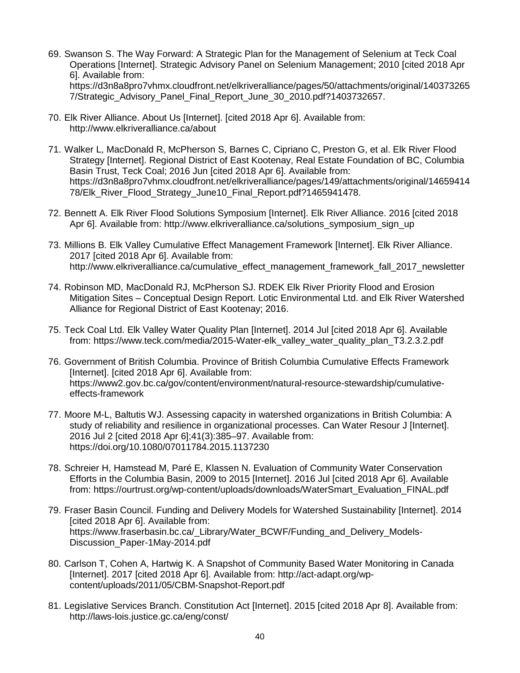- 69. Swanson S. The Way Forward: A Strategic Plan for the Management of Selenium at Teck Coal Operations [Internet]. Strategic Advisory Panel on Selenium Management; 2010 [cited 2018 Apr 6]. Available from: https://d3n8a8pro7vhmx.cloudfront.net/elkriveralliance/pages/50/attachments/original/140373265 7/Strategic Advisory Panel Final Report June 30 2010.pdf?1403732657.
- 70. Elk River Alliance. About Us [Internet]. [cited 2018 Apr 6]. Available from: http://www.elkriveralliance.ca/about
- 71. Walker L, MacDonald R, McPherson S, Barnes C, Cipriano C, Preston G, et al. Elk River Flood Strategy [Internet]. Regional District of East Kootenay, Real Estate Foundation of BC, Columbia Basin Trust, Teck Coal; 2016 Jun [cited 2018 Apr 6]. Available from: https://d3n8a8pro7vhmx.cloudfront.net/elkriveralliance/pages/149/attachments/original/14659414 78/Elk\_River\_Flood\_Strategy\_June10\_Final\_Report.pdf?1465941478.
- 72. Bennett A. Elk River Flood Solutions Symposium [Internet]. Elk River Alliance. 2016 [cited 2018 Apr 6]. Available from: http://www.elkriveralliance.ca/solutions\_symposium\_sign\_up
- 73. Millions B. Elk Valley Cumulative Effect Management Framework [Internet]. Elk River Alliance. 2017 [cited 2018 Apr 6]. Available from: http://www.elkriveralliance.ca/cumulative\_effect\_management\_framework\_fall\_2017\_newsletter
- 74. Robinson MD, MacDonald RJ, McPherson SJ. RDEK Elk River Priority Flood and Erosion Mitigation Sites – Conceptual Design Report. Lotic Environmental Ltd. and Elk River Watershed Alliance for Regional District of East Kootenay; 2016.
- 75. Teck Coal Ltd. Elk Valley Water Quality Plan [Internet]. 2014 Jul [cited 2018 Apr 6]. Available from: https://www.teck.com/media/2015-Water-elk\_valley\_water\_quality\_plan\_T3.2.3.2.pdf
- 76. Government of British Columbia. Province of British Columbia Cumulative Effects Framework [Internet]. [cited 2018 Apr 6]. Available from: https://www2.gov.bc.ca/gov/content/environment/natural-resource-stewardship/cumulativeeffects-framework
- 77. Moore M-L, Baltutis WJ. Assessing capacity in watershed organizations in British Columbia: A study of reliability and resilience in organizational processes. Can Water Resour J [Internet]. 2016 Jul 2 [cited 2018 Apr 6];41(3):385–97. Available from: https://doi.org/10.1080/07011784.2015.1137230
- 78. Schreier H, Hamstead M, Paré E, Klassen N. Evaluation of Community Water Conservation Efforts in the Columbia Basin, 2009 to 2015 [Internet]. 2016 Jul [cited 2018 Apr 6]. Available from: https://ourtrust.org/wp-content/uploads/downloads/WaterSmart\_Evaluation\_FINAL.pdf
- 79. Fraser Basin Council. Funding and Delivery Models for Watershed Sustainability [Internet]. 2014 [cited 2018 Apr 6]. Available from: https://www.fraserbasin.bc.ca/\_Library/Water\_BCWF/Funding\_and\_Delivery\_Models-Discussion\_Paper-1May-2014.pdf
- 80. Carlson T, Cohen A, Hartwig K. A Snapshot of Community Based Water Monitoring in Canada [Internet]. 2017 [cited 2018 Apr 6]. Available from: http://act-adapt.org/wpcontent/uploads/2011/05/CBM-Snapshot-Report.pdf
- 81. Legislative Services Branch. Constitution Act [Internet]. 2015 [cited 2018 Apr 8]. Available from: http://laws-lois.justice.gc.ca/eng/const/